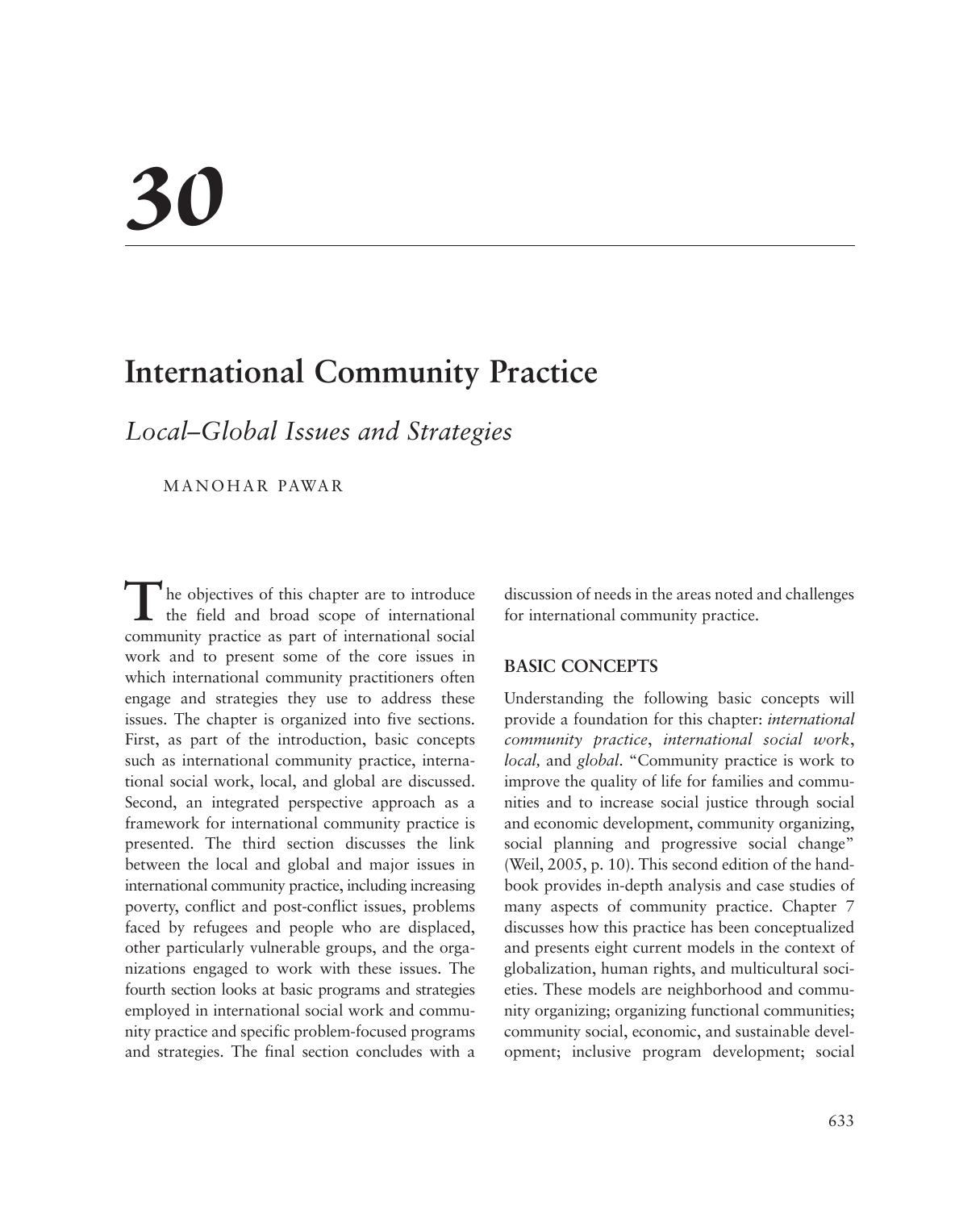# *30*

# **International Community Practice**

*Local–Global Issues and Strategies*

MANOHAR PAWAR

The objectives of this chapter are to introduce the field and broad scope of international community practice as part of international social work and to present some of the core issues in which international community practitioners often engage and strategies they use to address these issues. The chapter is organized into five sections. First, as part of the introduction, basic concepts such as international community practice, international social work, local, and global are discussed. Second, an integrated perspective approach as a framework for international community practice is presented. The third section discusses the link between the local and global and major issues in international community practice, including increasing poverty, conflict and post-conflict issues, problems faced by refugees and people who are displaced, other particularly vulnerable groups, and the organizations engaged to work with these issues. The fourth section looks at basic programs and strategies employed in international social work and community practice and specific problem-focused programs and strategies. The final section concludes with a

discussion of needs in the areas noted and challenges for international community practice.

### **BASIC CONCEPTS**

Understanding the following basic concepts will provide a foundation for this chapter: *international community practice*, *international social work*, *local,* and *global*. "Community practice is work to improve the quality of life for families and communities and to increase social justice through social and economic development, community organizing, social planning and progressive social change" (Weil, 2005, p. 10). This second edition of the handbook provides in-depth analysis and case studies of many aspects of community practice. Chapter 7 discusses how this practice has been conceptualized and presents eight current models in the context of globalization, human rights, and multicultural societies. These models are neighborhood and community organizing; organizing functional communities; community social, economic, and sustainable development; inclusive program development; social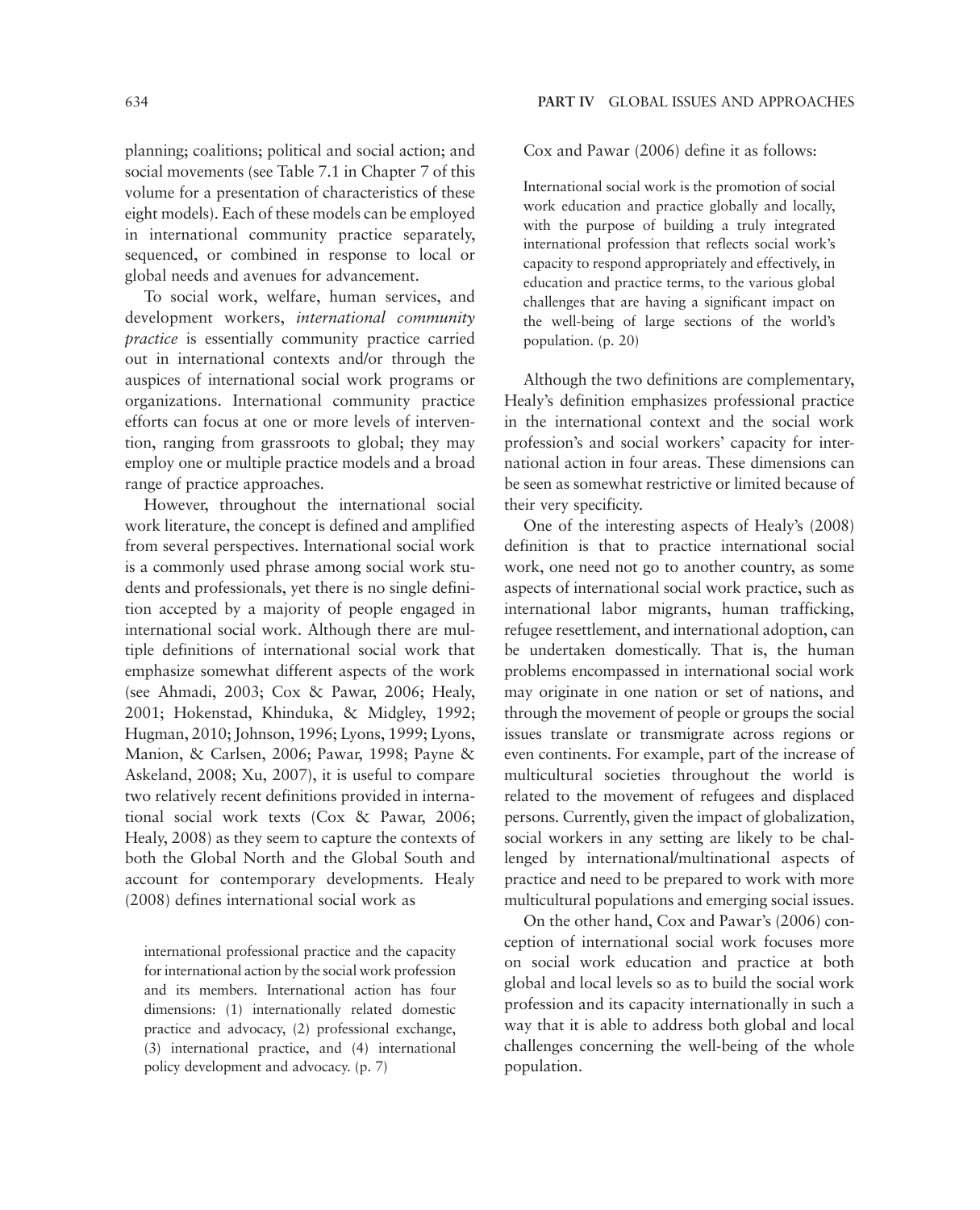planning; coalitions; political and social action; and social movements (see Table 7.1 in Chapter 7 of this volume for a presentation of characteristics of these eight models). Each of these models can be employed in international community practice separately, sequenced, or combined in response to local or global needs and avenues for advancement.

To social work, welfare, human services, and development workers, *international community practice* is essentially community practice carried out in international contexts and/or through the auspices of international social work programs or organizations. International community practice efforts can focus at one or more levels of intervention, ranging from grassroots to global; they may employ one or multiple practice models and a broad range of practice approaches.

However, throughout the international social work literature, the concept is defined and amplified from several perspectives. International social work is a commonly used phrase among social work students and professionals, yet there is no single definition accepted by a majority of people engaged in international social work. Although there are multiple definitions of international social work that emphasize somewhat different aspects of the work (see Ahmadi, 2003; Cox & Pawar, 2006; Healy, 2001; Hokenstad, Khinduka, & Midgley, 1992; Hugman, 2010; Johnson, 1996; Lyons, 1999; Lyons, Manion, & Carlsen, 2006; Pawar, 1998; Payne & Askeland, 2008; Xu, 2007), it is useful to compare two relatively recent definitions provided in international social work texts (Cox & Pawar, 2006; Healy, 2008) as they seem to capture the contexts of both the Global North and the Global South and account for contemporary developments. Healy (2008) defines international social work as

international professional practice and the capacity for international action by the social work profession and its members. International action has four dimensions: (1) internationally related domestic practice and advocacy, (2) professional exchange, (3) international practice, and (4) international policy development and advocacy. (p. 7)

Cox and Pawar (2006) define it as follows:

International social work is the promotion of social work education and practice globally and locally, with the purpose of building a truly integrated international profession that reflects social work's capacity to respond appropriately and effectively, in education and practice terms, to the various global challenges that are having a significant impact on the well-being of large sections of the world's population. (p. 20)

Although the two definitions are complementary, Healy's definition emphasizes professional practice in the international context and the social work profession's and social workers' capacity for international action in four areas. These dimensions can be seen as somewhat restrictive or limited because of their very specificity.

One of the interesting aspects of Healy's (2008) definition is that to practice international social work, one need not go to another country, as some aspects of international social work practice, such as international labor migrants, human trafficking, refugee resettlement, and international adoption, can be undertaken domestically. That is, the human problems encompassed in international social work may originate in one nation or set of nations, and through the movement of people or groups the social issues translate or transmigrate across regions or even continents. For example, part of the increase of multicultural societies throughout the world is related to the movement of refugees and displaced persons. Currently, given the impact of globalization, social workers in any setting are likely to be challenged by international/multinational aspects of practice and need to be prepared to work with more multicultural populations and emerging social issues.

On the other hand, Cox and Pawar's (2006) conception of international social work focuses more on social work education and practice at both global and local levels so as to build the social work profession and its capacity internationally in such a way that it is able to address both global and local challenges concerning the well-being of the whole population.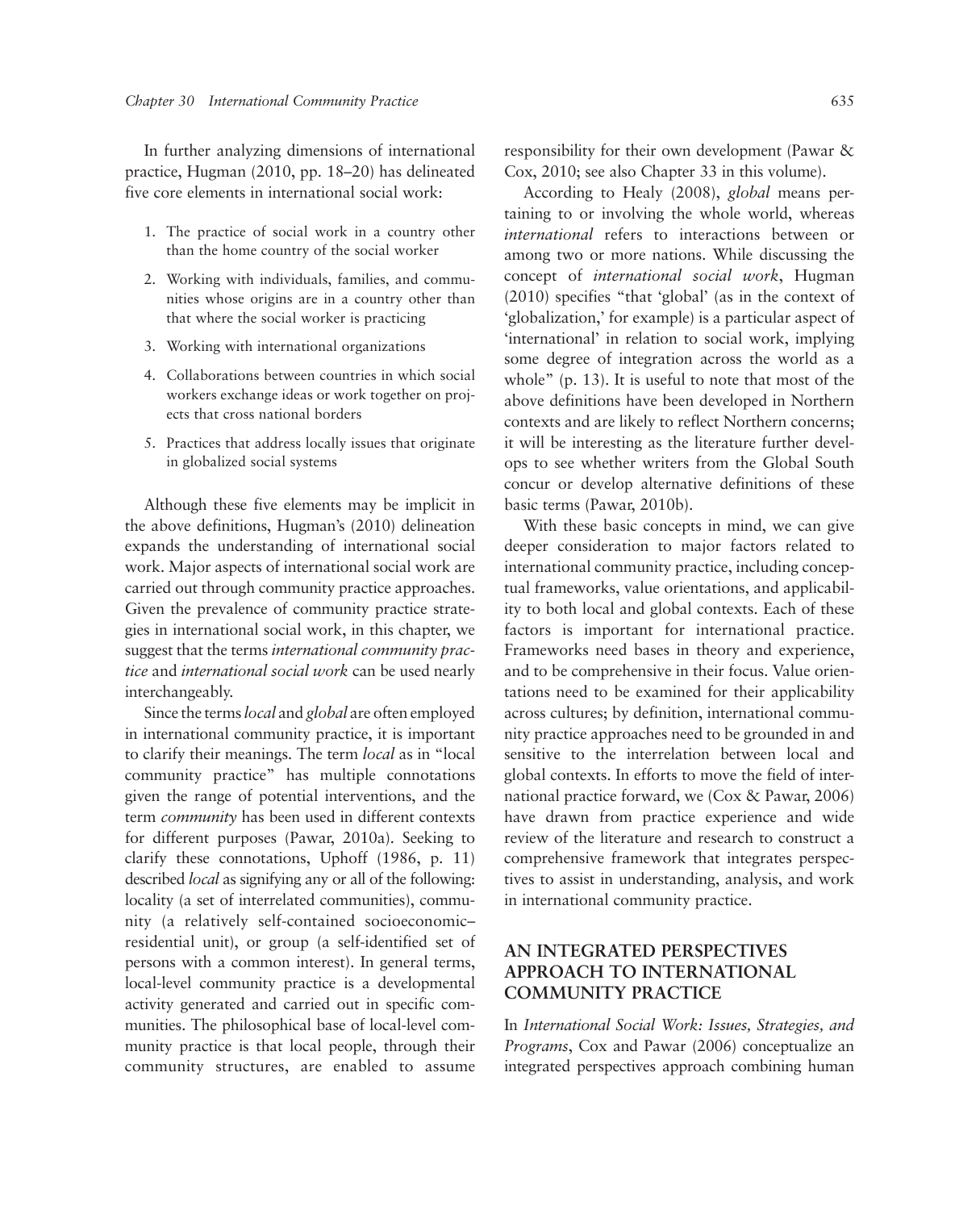In further analyzing dimensions of international practice, Hugman (2010, pp. 18–20) has delineated five core elements in international social work:

- 1. The practice of social work in a country other than the home country of the social worker
- 2. Working with individuals, families, and communities whose origins are in a country other than that where the social worker is practicing
- 3. Working with international organizations
- 4. Collaborations between countries in which social workers exchange ideas or work together on projects that cross national borders
- 5. Practices that address locally issues that originate in globalized social systems

Although these five elements may be implicit in the above definitions, Hugman's (2010) delineation expands the understanding of international social work. Major aspects of international social work are carried out through community practice approaches. Given the prevalence of community practice strategies in international social work, in this chapter, we suggest that the terms *international community practice* and *international social work* can be used nearly interchangeably.

Since the terms *local* and *global* are often employed in international community practice, it is important to clarify their meanings. The term *local* as in "local community practice" has multiple connotations given the range of potential interventions, and the term *community* has been used in different contexts for different purposes (Pawar, 2010a). Seeking to clarify these connotations, Uphoff (1986, p. 11) described *local* as signifying any or all of the following: locality (a set of interrelated communities), community (a relatively self-contained socioeconomic– residential unit), or group (a self-identified set of persons with a common interest). In general terms, local-level community practice is a developmental activity generated and carried out in specific communities. The philosophical base of local-level community practice is that local people, through their community structures, are enabled to assume responsibility for their own development (Pawar & Cox, 2010; see also Chapter 33 in this volume).

According to Healy (2008), *global* means pertaining to or involving the whole world, whereas *international* refers to interactions between or among two or more nations. While discussing the concept of *international social work*, Hugman (2010) specifies "that 'global' (as in the context of 'globalization,' for example) is a particular aspect of 'international' in relation to social work, implying some degree of integration across the world as a whole" (p. 13). It is useful to note that most of the above definitions have been developed in Northern contexts and are likely to reflect Northern concerns; it will be interesting as the literature further develops to see whether writers from the Global South concur or develop alternative definitions of these basic terms (Pawar, 2010b).

With these basic concepts in mind, we can give deeper consideration to major factors related to international community practice, including conceptual frameworks, value orientations, and applicability to both local and global contexts. Each of these factors is important for international practice. Frameworks need bases in theory and experience, and to be comprehensive in their focus. Value orientations need to be examined for their applicability across cultures; by definition, international community practice approaches need to be grounded in and sensitive to the interrelation between local and global contexts. In efforts to move the field of international practice forward, we (Cox & Pawar, 2006) have drawn from practice experience and wide review of the literature and research to construct a comprehensive framework that integrates perspectives to assist in understanding, analysis, and work in international community practice.

# **AN INTEGRATED PERSPECTIVES APPROACH TO INTERNATIONAL COMMUNITY PRACTICE**

In *International Social Work: Issues, Strategies, and Programs*, Cox and Pawar (2006) conceptualize an integrated perspectives approach combining human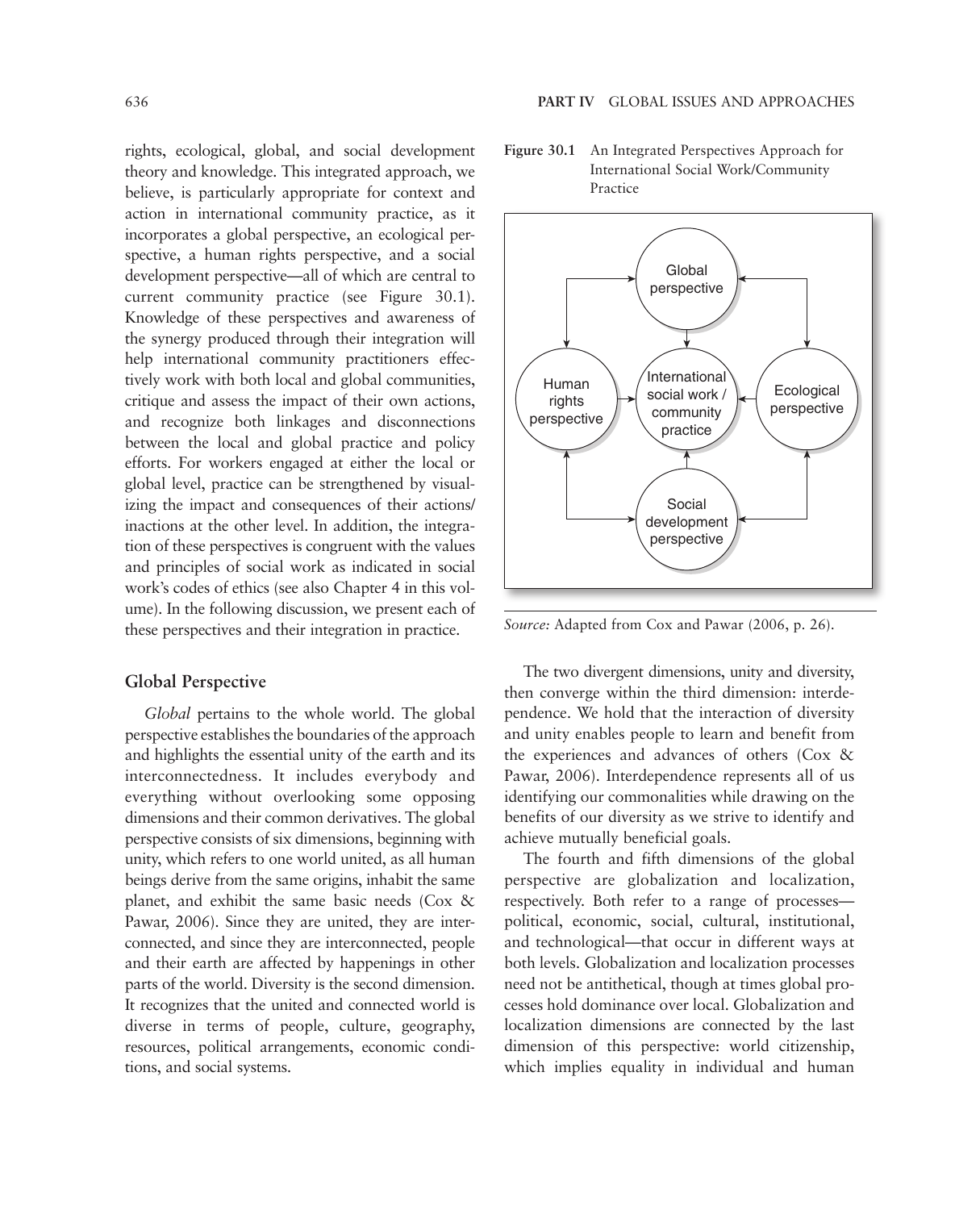rights, ecological, global, and social development theory and knowledge. This integrated approach, we believe, is particularly appropriate for context and action in international community practice, as it incorporates a global perspective, an ecological perspective, a human rights perspective, and a social development perspective—all of which are central to current community practice (see Figure 30.1). Knowledge of these perspectives and awareness of the synergy produced through their integration will help international community practitioners effectively work with both local and global communities, critique and assess the impact of their own actions, and recognize both linkages and disconnections between the local and global practice and policy efforts. For workers engaged at either the local or global level, practice can be strengthened by visualizing the impact and consequences of their actions/ inactions at the other level. In addition, the integration of these perspectives is congruent with the values and principles of social work as indicated in social work's codes of ethics (see also Chapter 4 in this volume). In the following discussion, we present each of these perspectives and their integration in practice.

### **Global Perspective**

*Global* pertains to the whole world. The global perspective establishes the boundaries of the approach and highlights the essential unity of the earth and its interconnectedness. It includes everybody and everything without overlooking some opposing dimensions and their common derivatives. The global perspective consists of six dimensions, beginning with unity, which refers to one world united, as all human beings derive from the same origins, inhabit the same planet, and exhibit the same basic needs (Cox & Pawar, 2006). Since they are united, they are interconnected, and since they are interconnected, people and their earth are affected by happenings in other parts of the world. Diversity is the second dimension. It recognizes that the united and connected world is diverse in terms of people, culture, geography, resources, political arrangements, economic conditions, and social systems.

**Figure 30.1** An Integrated Perspectives Approach for International Social Work/Community Practice



*Source:* Adapted from Cox and Pawar (2006, p. 26).

The two divergent dimensions, unity and diversity, then converge within the third dimension: interdependence. We hold that the interaction of diversity and unity enables people to learn and benefit from the experiences and advances of others (Cox & Pawar, 2006). Interdependence represents all of us identifying our commonalities while drawing on the benefits of our diversity as we strive to identify and achieve mutually beneficial goals.

The fourth and fifth dimensions of the global perspective are globalization and localization, respectively. Both refer to a range of processes political, economic, social, cultural, institutional, and technological—that occur in different ways at both levels. Globalization and localization processes need not be antithetical, though at times global processes hold dominance over local. Globalization and localization dimensions are connected by the last dimension of this perspective: world citizenship, which implies equality in individual and human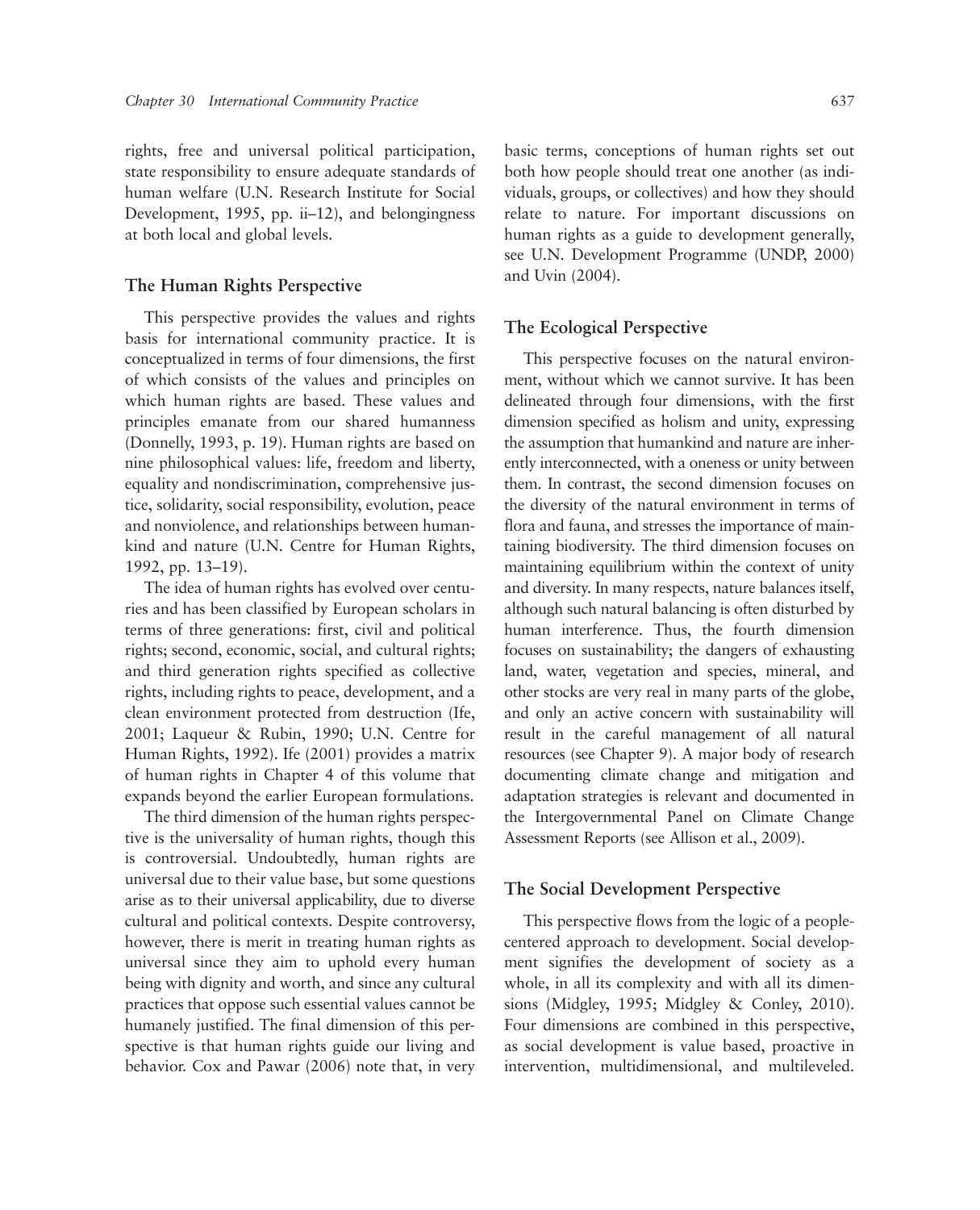rights, free and universal political participation, state responsibility to ensure adequate standards of human welfare (U.N. Research Institute for Social Development, 1995, pp. ii–12), and belongingness at both local and global levels.

#### **The Human Rights Perspective**

This perspective provides the values and rights basis for international community practice. It is conceptualized in terms of four dimensions, the first of which consists of the values and principles on which human rights are based. These values and principles emanate from our shared humanness (Donnelly, 1993, p. 19). Human rights are based on nine philosophical values: life, freedom and liberty, equality and nondiscrimination, comprehensive justice, solidarity, social responsibility, evolution, peace and nonviolence, and relationships between humankind and nature (U.N. Centre for Human Rights, 1992, pp. 13–19).

The idea of human rights has evolved over centuries and has been classified by European scholars in terms of three generations: first, civil and political rights; second, economic, social, and cultural rights; and third generation rights specified as collective rights, including rights to peace, development, and a clean environment protected from destruction (Ife, 2001; Laqueur & Rubin, 1990; U.N. Centre for Human Rights, 1992). Ife (2001) provides a matrix of human rights in Chapter 4 of this volume that expands beyond the earlier European formulations.

The third dimension of the human rights perspective is the universality of human rights, though this is controversial. Undoubtedly, human rights are universal due to their value base, but some questions arise as to their universal applicability, due to diverse cultural and political contexts. Despite controversy, however, there is merit in treating human rights as universal since they aim to uphold every human being with dignity and worth, and since any cultural practices that oppose such essential values cannot be humanely justified. The final dimension of this perspective is that human rights guide our living and behavior. Cox and Pawar (2006) note that, in very basic terms, conceptions of human rights set out both how people should treat one another (as individuals, groups, or collectives) and how they should relate to nature. For important discussions on human rights as a guide to development generally, see U.N. Development Programme (UNDP, 2000) and Uvin (2004).

#### **The Ecological Perspective**

This perspective focuses on the natural environment, without which we cannot survive. It has been delineated through four dimensions, with the first dimension specified as holism and unity, expressing the assumption that humankind and nature are inherently interconnected, with a oneness or unity between them. In contrast, the second dimension focuses on the diversity of the natural environment in terms of flora and fauna, and stresses the importance of maintaining biodiversity. The third dimension focuses on maintaining equilibrium within the context of unity and diversity. In many respects, nature balances itself, although such natural balancing is often disturbed by human interference. Thus, the fourth dimension focuses on sustainability; the dangers of exhausting land, water, vegetation and species, mineral, and other stocks are very real in many parts of the globe, and only an active concern with sustainability will result in the careful management of all natural resources (see Chapter 9). A major body of research documenting climate change and mitigation and adaptation strategies is relevant and documented in the Intergovernmental Panel on Climate Change Assessment Reports (see Allison et al., 2009).

#### **The Social Development Perspective**

This perspective flows from the logic of a peoplecentered approach to development. Social development signifies the development of society as a whole, in all its complexity and with all its dimensions (Midgley, 1995; Midgley & Conley, 2010). Four dimensions are combined in this perspective, as social development is value based, proactive in intervention, multidimensional, and multileveled.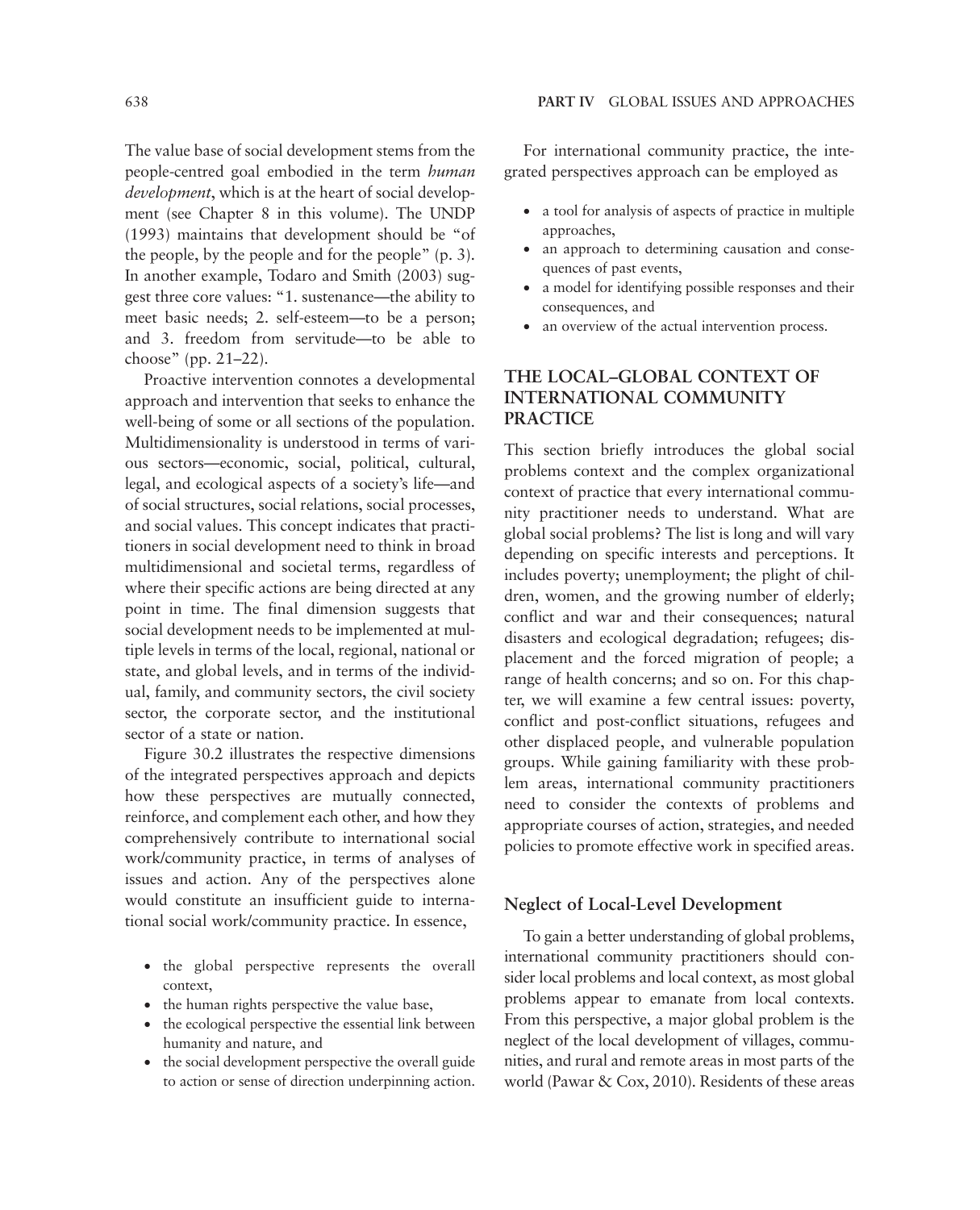The value base of social development stems from the people-centred goal embodied in the term *human development*, which is at the heart of social development (see Chapter 8 in this volume). The UNDP (1993) maintains that development should be "of the people, by the people and for the people" (p. 3). In another example, Todaro and Smith (2003) suggest three core values: "1. sustenance—the ability to meet basic needs; 2. self-esteem—to be a person; and 3. freedom from servitude—to be able to choose" (pp. 21–22).

Proactive intervention connotes a developmental approach and intervention that seeks to enhance the well-being of some or all sections of the population. Multidimensionality is understood in terms of various sectors—economic, social, political, cultural, legal, and ecological aspects of a society's life—and of social structures, social relations, social processes, and social values. This concept indicates that practitioners in social development need to think in broad multidimensional and societal terms, regardless of where their specific actions are being directed at any point in time. The final dimension suggests that social development needs to be implemented at multiple levels in terms of the local, regional, national or state, and global levels, and in terms of the individual, family, and community sectors, the civil society sector, the corporate sector, and the institutional sector of a state or nation.

Figure 30.2 illustrates the respective dimensions of the integrated perspectives approach and depicts how these perspectives are mutually connected, reinforce, and complement each other, and how they comprehensively contribute to international social work/community practice, in terms of analyses of issues and action. Any of the perspectives alone would constitute an insufficient guide to international social work/community practice. In essence,

- the global perspective represents the overall context,
- the human rights perspective the value base,
- the ecological perspective the essential link between humanity and nature, and
- the social development perspective the overall guide to action or sense of direction underpinning action.

For international community practice, the integrated perspectives approach can be employed as

- a tool for analysis of aspects of practice in multiple approaches,
- an approach to determining causation and consequences of past events,
- a model for identifying possible responses and their consequences, and
- an overview of the actual intervention process.

# **THE LOCAL–GLOBAL CONTEXT OF INTERNATIONAL COMMUNITY PRACTICE**

This section briefly introduces the global social problems context and the complex organizational context of practice that every international community practitioner needs to understand. What are global social problems? The list is long and will vary depending on specific interests and perceptions. It includes poverty; unemployment; the plight of children, women, and the growing number of elderly; conflict and war and their consequences; natural disasters and ecological degradation; refugees; displacement and the forced migration of people; a range of health concerns; and so on. For this chapter, we will examine a few central issues: poverty, conflict and post-conflict situations, refugees and other displaced people, and vulnerable population groups. While gaining familiarity with these problem areas, international community practitioners need to consider the contexts of problems and appropriate courses of action, strategies, and needed policies to promote effective work in specified areas.

### **Neglect of Local-Level Development**

To gain a better understanding of global problems, international community practitioners should consider local problems and local context, as most global problems appear to emanate from local contexts. From this perspective, a major global problem is the neglect of the local development of villages, communities, and rural and remote areas in most parts of the world (Pawar & Cox, 2010). Residents of these areas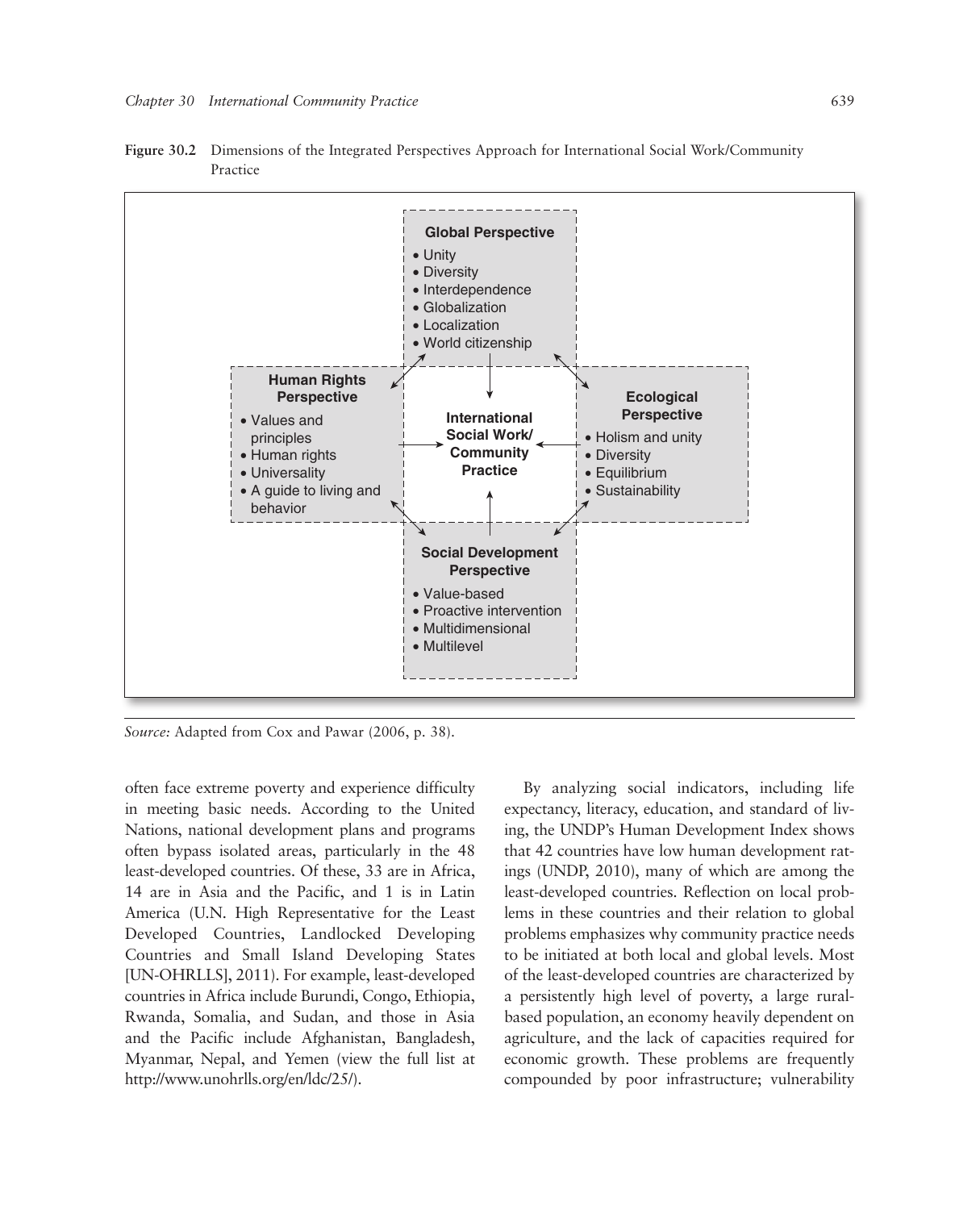

**Figure 30.2** Dimensions of the Integrated Perspectives Approach for International Social Work/Community Practice

*Source:* Adapted from Cox and Pawar (2006, p. 38).

often face extreme poverty and experience difficulty in meeting basic needs. According to the United Nations, national development plans and programs often bypass isolated areas, particularly in the 48 least-developed countries. Of these, 33 are in Africa, 14 are in Asia and the Pacific, and 1 is in Latin America (U.N. High Representative for the Least Developed Countries, Landlocked Developing Countries and Small Island Developing States [UN-OHRLLS], 2011). For example, least-developed countries in Africa include Burundi, Congo, Ethiopia, Rwanda, Somalia, and Sudan, and those in Asia and the Pacific include Afghanistan, Bangladesh, Myanmar, Nepal, and Yemen (view the full list at http://www.unohrlls.org/en/ldc/25/).

By analyzing social indicators, including life expectancy, literacy, education, and standard of living, the UNDP's Human Development Index shows that 42 countries have low human development ratings (UNDP, 2010), many of which are among the least-developed countries. Reflection on local problems in these countries and their relation to global problems emphasizes why community practice needs to be initiated at both local and global levels. Most of the least-developed countries are characterized by a persistently high level of poverty, a large ruralbased population, an economy heavily dependent on agriculture, and the lack of capacities required for economic growth. These problems are frequently compounded by poor infrastructure; vulnerability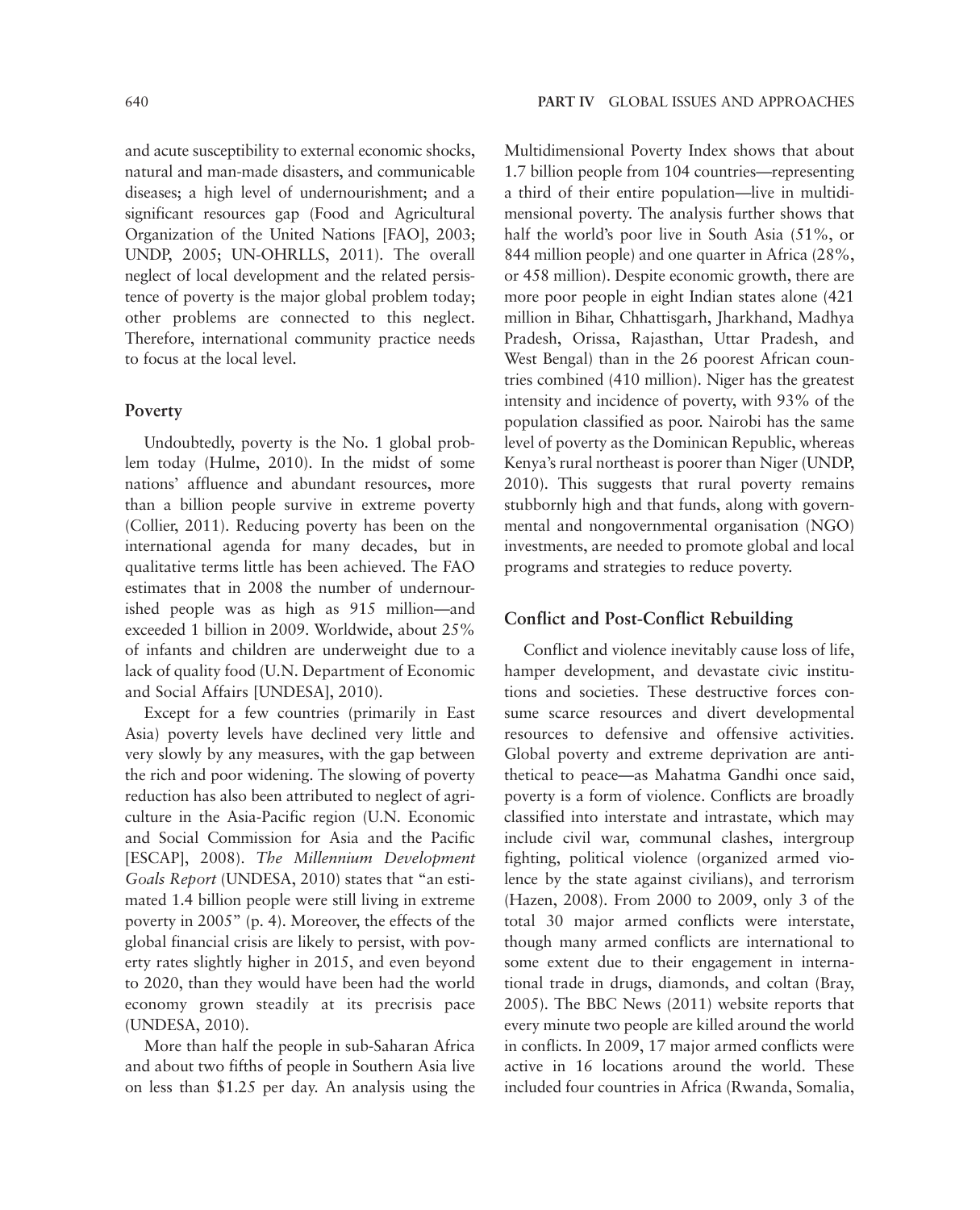and acute susceptibility to external economic shocks, natural and man-made disasters, and communicable diseases; a high level of undernourishment; and a significant resources gap (Food and Agricultural Organization of the United Nations [FAO], 2003; UNDP, 2005; UN-OHRLLS, 2011). The overall neglect of local development and the related persistence of poverty is the major global problem today; other problems are connected to this neglect. Therefore, international community practice needs to focus at the local level.

#### **Poverty**

Undoubtedly, poverty is the No. 1 global problem today (Hulme, 2010). In the midst of some nations' affluence and abundant resources, more than a billion people survive in extreme poverty (Collier, 2011). Reducing poverty has been on the international agenda for many decades, but in qualitative terms little has been achieved. The FAO estimates that in 2008 the number of undernourished people was as high as 915 million—and exceeded 1 billion in 2009. Worldwide, about 25% of infants and children are underweight due to a lack of quality food (U.N. Department of Economic and Social Affairs [UNDESA], 2010).

Except for a few countries (primarily in East Asia) poverty levels have declined very little and very slowly by any measures, with the gap between the rich and poor widening. The slowing of poverty reduction has also been attributed to neglect of agriculture in the Asia-Pacific region (U.N. Economic and Social Commission for Asia and the Pacific [ESCAP], 2008). *The Millennium Development Goals Report* (UNDESA, 2010) states that "an estimated 1.4 billion people were still living in extreme poverty in 2005" (p. 4). Moreover, the effects of the global financial crisis are likely to persist, with poverty rates slightly higher in 2015, and even beyond to 2020, than they would have been had the world economy grown steadily at its precrisis pace (UNDESA, 2010).

More than half the people in sub-Saharan Africa and about two fifths of people in Southern Asia live on less than \$1.25 per day. An analysis using the Multidimensional Poverty Index shows that about 1.7 billion people from 104 countries—representing a third of their entire population—live in multidimensional poverty. The analysis further shows that half the world's poor live in South Asia (51%, or 844 million people) and one quarter in Africa (28%, or 458 million). Despite economic growth, there are more poor people in eight Indian states alone (421 million in Bihar, Chhattisgarh, Jharkhand, Madhya Pradesh, Orissa, Rajasthan, Uttar Pradesh, and West Bengal) than in the 26 poorest African countries combined (410 million). Niger has the greatest intensity and incidence of poverty, with 93% of the population classified as poor. Nairobi has the same level of poverty as the Dominican Republic, whereas Kenya's rural northeast is poorer than Niger (UNDP, 2010). This suggests that rural poverty remains stubbornly high and that funds, along with governmental and nongovernmental organisation (NGO) investments, are needed to promote global and local programs and strategies to reduce poverty.

#### **Conflict and Post-Conflict Rebuilding**

Conflict and violence inevitably cause loss of life, hamper development, and devastate civic institutions and societies. These destructive forces consume scarce resources and divert developmental resources to defensive and offensive activities. Global poverty and extreme deprivation are antithetical to peace—as Mahatma Gandhi once said, poverty is a form of violence. Conflicts are broadly classified into interstate and intrastate, which may include civil war, communal clashes, intergroup fighting, political violence (organized armed violence by the state against civilians), and terrorism (Hazen, 2008). From 2000 to 2009, only 3 of the total 30 major armed conflicts were interstate, though many armed conflicts are international to some extent due to their engagement in international trade in drugs, diamonds, and coltan (Bray, 2005). The BBC News (2011) website reports that every minute two people are killed around the world in conflicts. In 2009, 17 major armed conflicts were active in 16 locations around the world. These included four countries in Africa (Rwanda, Somalia,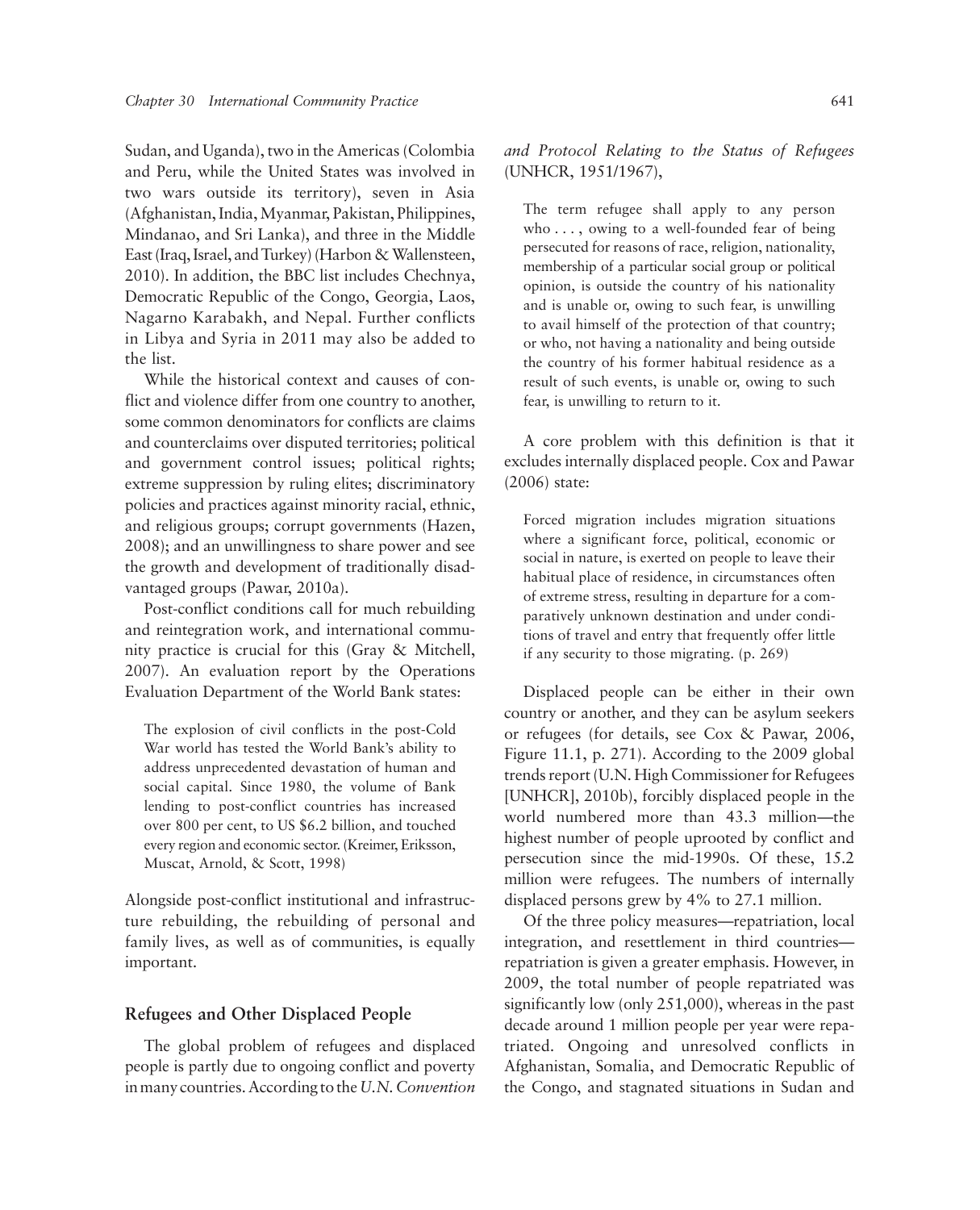Sudan, and Uganda), two in the Americas (Colombia and Peru, while the United States was involved in two wars outside its territory), seven in Asia (Afghanistan, India, Myanmar, Pakistan, Philippines, Mindanao, and Sri Lanka), and three in the Middle East (Iraq, Israel, and Turkey) (Harbon & Wallensteen, 2010). In addition, the BBC list includes Chechnya, Democratic Republic of the Congo, Georgia, Laos, Nagarno Karabakh, and Nepal. Further conflicts in Libya and Syria in 2011 may also be added to the list.

While the historical context and causes of conflict and violence differ from one country to another, some common denominators for conflicts are claims and counterclaims over disputed territories; political and government control issues; political rights; extreme suppression by ruling elites; discriminatory policies and practices against minority racial, ethnic, and religious groups; corrupt governments (Hazen, 2008); and an unwillingness to share power and see the growth and development of traditionally disadvantaged groups (Pawar, 2010a).

Post-conflict conditions call for much rebuilding and reintegration work, and international community practice is crucial for this (Gray & Mitchell, 2007). An evaluation report by the Operations Evaluation Department of the World Bank states:

The explosion of civil conflicts in the post-Cold War world has tested the World Bank's ability to address unprecedented devastation of human and social capital. Since 1980, the volume of Bank lending to post-conflict countries has increased over 800 per cent, to US \$6.2 billion, and touched every region and economic sector. (Kreimer, Eriksson, Muscat, Arnold, & Scott, 1998)

Alongside post-conflict institutional and infrastructure rebuilding, the rebuilding of personal and family lives, as well as of communities, is equally important.

#### **Refugees and Other Displaced People**

The global problem of refugees and displaced people is partly due to ongoing conflict and poverty in many countries. According to the *U.N. Convention*  *and Protocol Relating to the Status of Refugees* (UNHCR, 1951/1967),

The term refugee shall apply to any person who  $\dots$ , owing to a well-founded fear of being persecuted for reasons of race, religion, nationality, membership of a particular social group or political opinion, is outside the country of his nationality and is unable or, owing to such fear, is unwilling to avail himself of the protection of that country; or who, not having a nationality and being outside the country of his former habitual residence as a result of such events, is unable or, owing to such fear, is unwilling to return to it.

A core problem with this definition is that it excludes internally displaced people. Cox and Pawar (2006) state:

Forced migration includes migration situations where a significant force, political, economic or social in nature, is exerted on people to leave their habitual place of residence, in circumstances often of extreme stress, resulting in departure for a comparatively unknown destination and under conditions of travel and entry that frequently offer little if any security to those migrating. (p. 269)

Displaced people can be either in their own country or another, and they can be asylum seekers or refugees (for details, see Cox & Pawar, 2006, Figure 11.1, p. 271). According to the 2009 global trends report (U.N. High Commissioner for Refugees [UNHCR], 2010b), forcibly displaced people in the world numbered more than 43.3 million—the highest number of people uprooted by conflict and persecution since the mid-1990s. Of these, 15.2 million were refugees. The numbers of internally displaced persons grew by 4% to 27.1 million.

Of the three policy measures—repatriation, local integration, and resettlement in third countries repatriation is given a greater emphasis. However, in 2009, the total number of people repatriated was significantly low (only 251,000), whereas in the past decade around 1 million people per year were repatriated. Ongoing and unresolved conflicts in Afghanistan, Somalia, and Democratic Republic of the Congo, and stagnated situations in Sudan and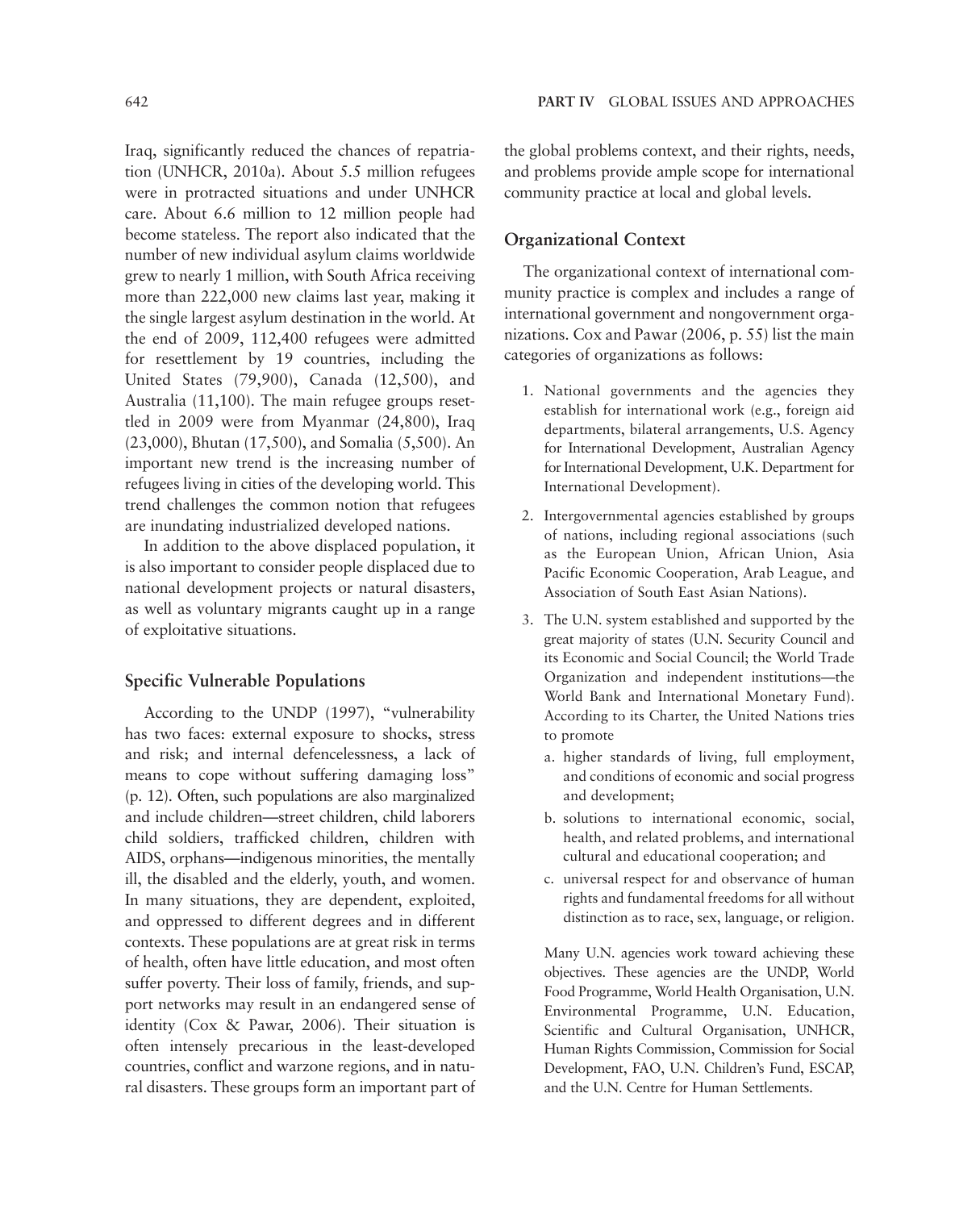Iraq, significantly reduced the chances of repatriation (UNHCR, 2010a). About 5.5 million refugees were in protracted situations and under UNHCR care. About 6.6 million to 12 million people had become stateless. The report also indicated that the number of new individual asylum claims worldwide grew to nearly 1 million, with South Africa receiving more than 222,000 new claims last year, making it the single largest asylum destination in the world. At the end of 2009, 112,400 refugees were admitted for resettlement by 19 countries, including the United States (79,900), Canada (12,500), and Australia (11,100). The main refugee groups resettled in 2009 were from Myanmar (24,800), Iraq (23,000), Bhutan (17,500), and Somalia (5,500). An important new trend is the increasing number of refugees living in cities of the developing world. This trend challenges the common notion that refugees are inundating industrialized developed nations.

In addition to the above displaced population, it is also important to consider people displaced due to national development projects or natural disasters, as well as voluntary migrants caught up in a range of exploitative situations.

### **Specific Vulnerable Populations**

According to the UNDP (1997), "vulnerability has two faces: external exposure to shocks, stress and risk; and internal defencelessness, a lack of means to cope without suffering damaging loss" (p. 12). Often, such populations are also marginalized and include children—street children, child laborers child soldiers, trafficked children, children with AIDS, orphans—indigenous minorities, the mentally ill, the disabled and the elderly, youth, and women. In many situations, they are dependent, exploited, and oppressed to different degrees and in different contexts. These populations are at great risk in terms of health, often have little education, and most often suffer poverty. Their loss of family, friends, and support networks may result in an endangered sense of identity (Cox & Pawar, 2006). Their situation is often intensely precarious in the least-developed countries, conflict and warzone regions, and in natural disasters. These groups form an important part of the global problems context, and their rights, needs, and problems provide ample scope for international community practice at local and global levels.

#### **Organizational Context**

The organizational context of international community practice is complex and includes a range of international government and nongovernment organizations. Cox and Pawar (2006, p. 55) list the main categories of organizations as follows:

- 1. National governments and the agencies they establish for international work (e.g., foreign aid departments, bilateral arrangements, U.S. Agency for International Development, Australian Agency for International Development, U.K. Department for International Development).
- 2. Intergovernmental agencies established by groups of nations, including regional associations (such as the European Union, African Union, Asia Pacific Economic Cooperation, Arab League, and Association of South East Asian Nations).
- 3. The U.N. system established and supported by the great majority of states (U.N. Security Council and its Economic and Social Council; the World Trade Organization and independent institutions—the World Bank and International Monetary Fund). According to its Charter, the United Nations tries to promote
	- a. higher standards of living, full employment, and conditions of economic and social progress and development;
	- b. solutions to international economic, social, health, and related problems, and international cultural and educational cooperation; and
	- c. universal respect for and observance of human rights and fundamental freedoms for all without distinction as to race, sex, language, or religion.

Many U.N. agencies work toward achieving these objectives. These agencies are the UNDP, World Food Programme, World Health Organisation, U.N. Environmental Programme, U.N. Education, Scientific and Cultural Organisation, UNHCR, Human Rights Commission, Commission for Social Development, FAO, U.N. Children's Fund, ESCAP, and the U.N. Centre for Human Settlements.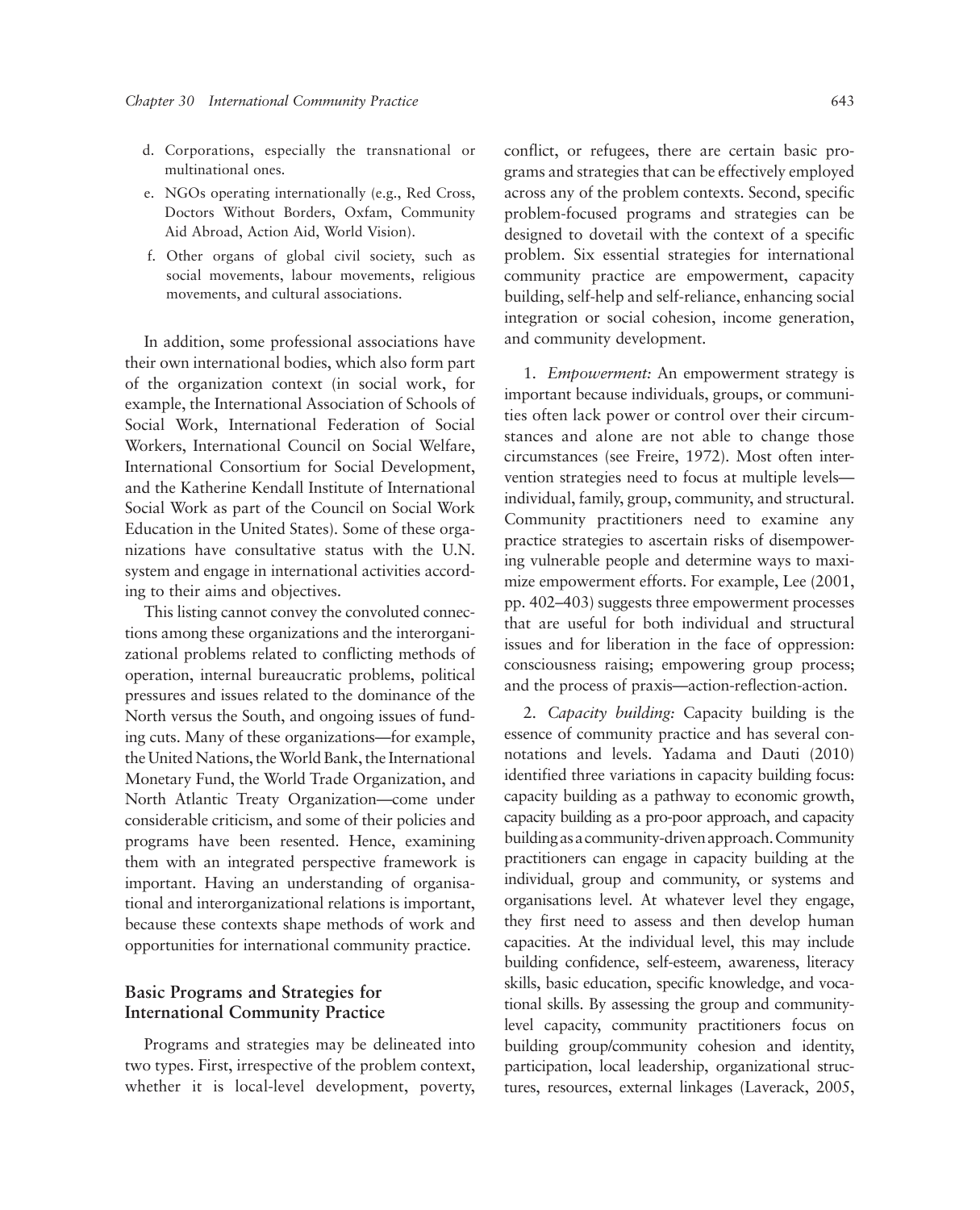- d. Corporations, especially the transnational or multinational ones.
- e. NGOs operating internationally (e.g., Red Cross, Doctors Without Borders, Oxfam, Community Aid Abroad, Action Aid, World Vision).
- f. Other organs of global civil society, such as social movements, labour movements, religious movements, and cultural associations.

In addition, some professional associations have their own international bodies, which also form part of the organization context (in social work, for example, the International Association of Schools of Social Work, International Federation of Social Workers, International Council on Social Welfare, International Consortium for Social Development, and the Katherine Kendall Institute of International Social Work as part of the Council on Social Work Education in the United States). Some of these organizations have consultative status with the U.N. system and engage in international activities according to their aims and objectives.

This listing cannot convey the convoluted connections among these organizations and the interorganizational problems related to conflicting methods of operation, internal bureaucratic problems, political pressures and issues related to the dominance of the North versus the South, and ongoing issues of funding cuts. Many of these organizations—for example, the United Nations, the World Bank, the International Monetary Fund, the World Trade Organization, and North Atlantic Treaty Organization—come under considerable criticism, and some of their policies and programs have been resented. Hence, examining them with an integrated perspective framework is important. Having an understanding of organisational and interorganizational relations is important, because these contexts shape methods of work and opportunities for international community practice.

## **Basic Programs and Strategies for International Community Practice**

Programs and strategies may be delineated into two types. First, irrespective of the problem context, whether it is local-level development, poverty, conflict, or refugees, there are certain basic programs and strategies that can be effectively employed across any of the problem contexts. Second, specific problem-focused programs and strategies can be designed to dovetail with the context of a specific problem. Six essential strategies for international community practice are empowerment, capacity building, self-help and self-reliance, enhancing social integration or social cohesion, income generation, and community development.

1. *Empowerment:* An empowerment strategy is important because individuals, groups, or communities often lack power or control over their circumstances and alone are not able to change those circumstances (see Freire, 1972). Most often intervention strategies need to focus at multiple levels individual, family, group, community, and structural. Community practitioners need to examine any practice strategies to ascertain risks of disempowering vulnerable people and determine ways to maximize empowerment efforts. For example, Lee (2001, pp. 402–403) suggests three empowerment processes that are useful for both individual and structural issues and for liberation in the face of oppression: consciousness raising; empowering group process; and the process of praxis—action-reflection-action.

2. *Capacity building:* Capacity building is the essence of community practice and has several connotations and levels. Yadama and Dauti (2010) identified three variations in capacity building focus: capacity building as a pathway to economic growth, capacity building as a pro-poor approach, and capacity building as a community-driven approach. Community practitioners can engage in capacity building at the individual, group and community, or systems and organisations level. At whatever level they engage, they first need to assess and then develop human capacities. At the individual level, this may include building confidence, self-esteem, awareness, literacy skills, basic education, specific knowledge, and vocational skills. By assessing the group and communitylevel capacity, community practitioners focus on building group/community cohesion and identity, participation, local leadership, organizational structures, resources, external linkages (Laverack, 2005,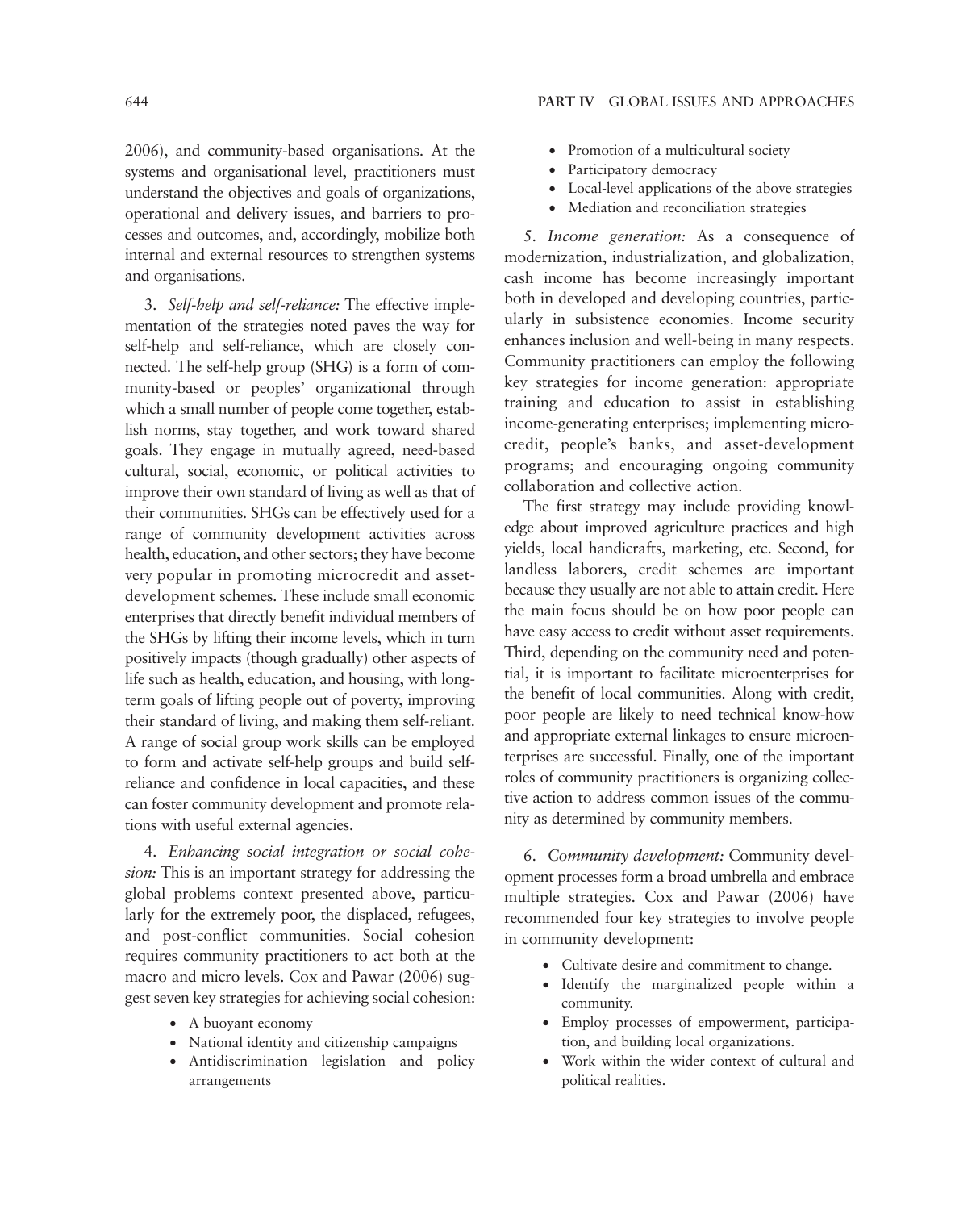2006), and community-based organisations. At the systems and organisational level, practitioners must understand the objectives and goals of organizations, operational and delivery issues, and barriers to processes and outcomes, and, accordingly, mobilize both internal and external resources to strengthen systems and organisations.

3. *Self-help and self-reliance:* The effective implementation of the strategies noted paves the way for self-help and self-reliance, which are closely connected. The self-help group (SHG) is a form of community-based or peoples' organizational through which a small number of people come together, establish norms, stay together, and work toward shared goals. They engage in mutually agreed, need-based cultural, social, economic, or political activities to improve their own standard of living as well as that of their communities. SHGs can be effectively used for a range of community development activities across health, education, and other sectors; they have become very popular in promoting microcredit and assetdevelopment schemes. These include small economic enterprises that directly benefit individual members of the SHGs by lifting their income levels, which in turn positively impacts (though gradually) other aspects of life such as health, education, and housing, with longterm goals of lifting people out of poverty, improving their standard of living, and making them self-reliant. A range of social group work skills can be employed to form and activate self-help groups and build selfreliance and confidence in local capacities, and these can foster community development and promote relations with useful external agencies.

4. *Enhancing social integration or social cohesion:* This is an important strategy for addressing the global problems context presented above, particularly for the extremely poor, the displaced, refugees, and post-conflict communities. Social cohesion requires community practitioners to act both at the macro and micro levels. Cox and Pawar (2006) suggest seven key strategies for achieving social cohesion:

- A buoyant economy
- National identity and citizenship campaigns
- Antidiscrimination legislation and policy arrangements
- Promotion of a multicultural society
- Participatory democracy
- Local-level applications of the above strategies
- Mediation and reconciliation strategies

5. *Income generation:* As a consequence of modernization, industrialization, and globalization, cash income has become increasingly important both in developed and developing countries, particularly in subsistence economies. Income security enhances inclusion and well-being in many respects. Community practitioners can employ the following key strategies for income generation: appropriate training and education to assist in establishing income-generating enterprises; implementing microcredit, people's banks, and asset-development programs; and encouraging ongoing community collaboration and collective action.

The first strategy may include providing knowledge about improved agriculture practices and high yields, local handicrafts, marketing, etc. Second, for landless laborers, credit schemes are important because they usually are not able to attain credit. Here the main focus should be on how poor people can have easy access to credit without asset requirements. Third, depending on the community need and potential, it is important to facilitate microenterprises for the benefit of local communities. Along with credit, poor people are likely to need technical know-how and appropriate external linkages to ensure microenterprises are successful. Finally, one of the important roles of community practitioners is organizing collective action to address common issues of the community as determined by community members.

6. *Community development:* Community development processes form a broad umbrella and embrace multiple strategies. Cox and Pawar (2006) have recommended four key strategies to involve people in community development:

- Cultivate desire and commitment to change.
- Identify the marginalized people within a community.
- Employ processes of empowerment, participation, and building local organizations.
- Work within the wider context of cultural and political realities.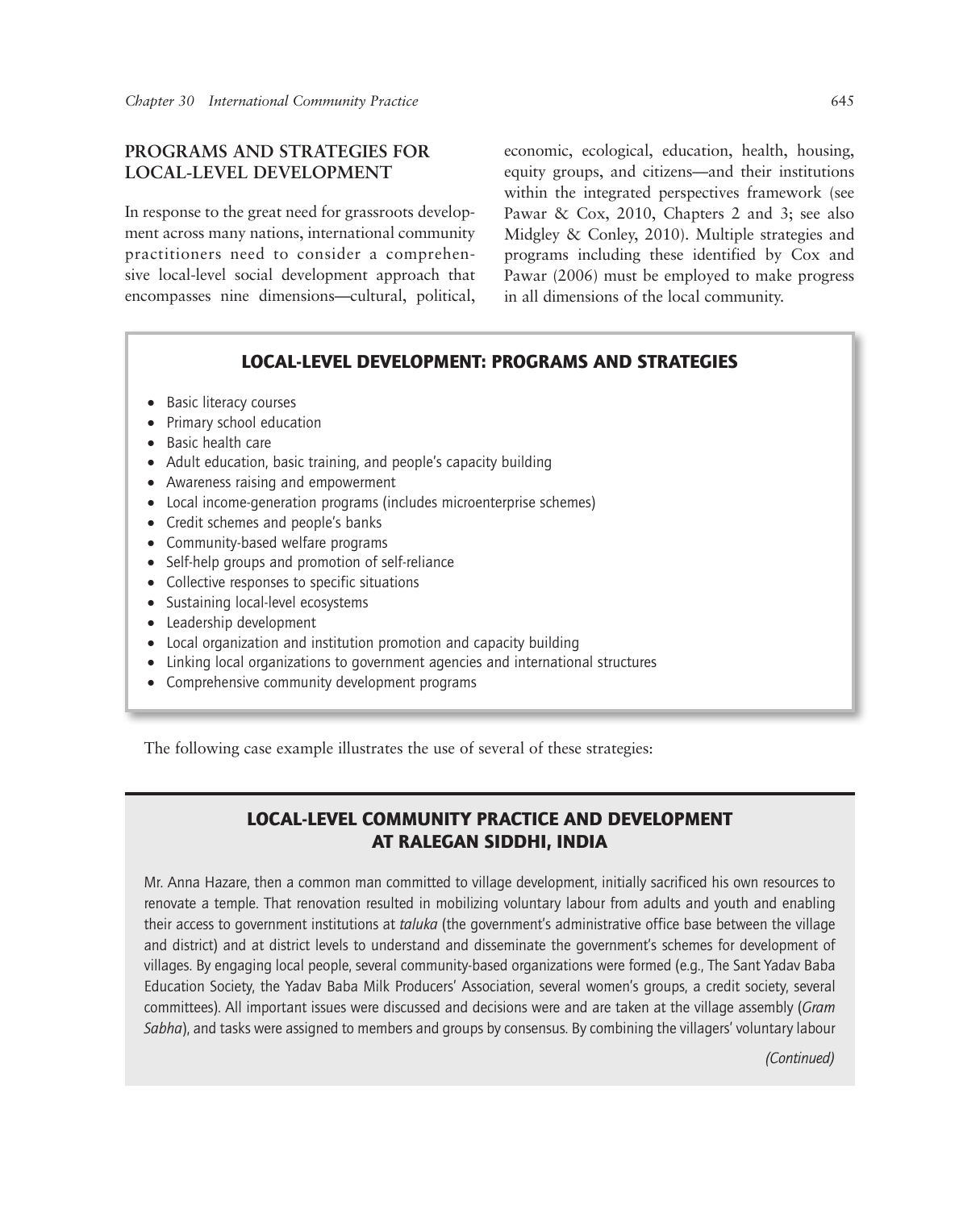# **PROGRAMS AND STRATEGIES FOR LOCAL-LEVEL DEVELOPMENT**

In response to the great need for grassroots development across many nations, international community practitioners need to consider a comprehensive local-level social development approach that encompasses nine dimensions—cultural, political, economic, ecological, education, health, housing, equity groups, and citizens—and their institutions within the integrated perspectives framework (see Pawar & Cox, 2010, Chapters 2 and 3; see also Midgley & Conley, 2010). Multiple strategies and programs including these identified by Cox and Pawar (2006) must be employed to make progress in all dimensions of the local community.

## LOCAL-LEVEL DEVELOPMENT: PROGRAMS AND STRATEGIES

- Basic literacy courses
- Primary school education
- Basic health care
- Adult education, basic training, and people's capacity building
- Awareness raising and empowerment
- Local income-generation programs (includes microenterprise schemes)
- Credit schemes and people's banks
- Community-based welfare programs
- Self-help groups and promotion of self-reliance
- Collective responses to specific situations
- Sustaining local-level ecosystems
- Leadership development
- Local organization and institution promotion and capacity building
- Linking local organizations to government agencies and international structures
- Comprehensive community development programs

The following case example illustrates the use of several of these strategies:

# LOCAL-LEVEL COMMUNITY PRACTICE AND DEVELOPMENT AT RALEGAN SIDDHI, INDIA

Mr. Anna Hazare, then a common man committed to village development, initially sacrificed his own resources to renovate a temple. That renovation resulted in mobilizing voluntary labour from adults and youth and enabling their access to government institutions at *taluka* (the government's administrative office base between the village and district) and at district levels to understand and disseminate the government's schemes for development of villages. By engaging local people, several community-based organizations were formed (e.g., The Sant Yadav Baba Education Society, the Yadav Baba Milk Producers' Association, several women's groups, a credit society, several committees). All important issues were discussed and decisions were and are taken at the village assembly (*Gram Sabha*), and tasks were assigned to members and groups by consensus. By combining the villagers' voluntary labour

*(Continued)*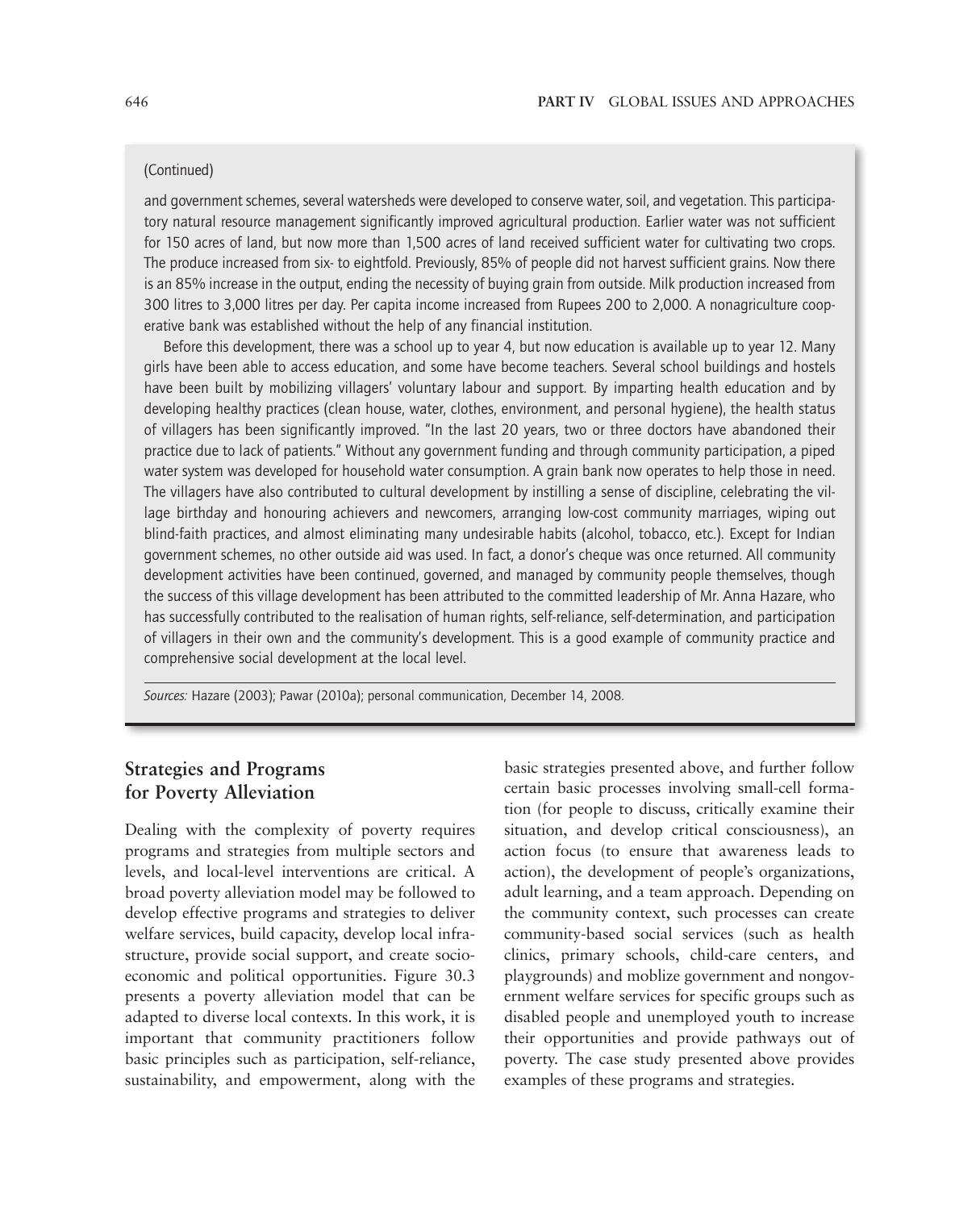#### (Continued)

and government schemes, several watersheds were developed to conserve water, soil, and vegetation. This participatory natural resource management significantly improved agricultural production. Earlier water was not sufficient for 150 acres of land, but now more than 1,500 acres of land received sufficient water for cultivating two crops. The produce increased from six- to eightfold. Previously, 85% of people did not harvest sufficient grains. Now there is an 85% increase in the output, ending the necessity of buying grain from outside. Milk production increased from 300 litres to 3,000 litres per day. Per capita income increased from Rupees 200 to 2,000. A nonagriculture cooperative bank was established without the help of any financial institution.

Before this development, there was a school up to year 4, but now education is available up to year 12. Many girls have been able to access education, and some have become teachers. Several school buildings and hostels have been built by mobilizing villagers' voluntary labour and support. By imparting health education and by developing healthy practices (clean house, water, clothes, environment, and personal hygiene), the health status of villagers has been significantly improved. "In the last 20 years, two or three doctors have abandoned their practice due to lack of patients." Without any government funding and through community participation, a piped water system was developed for household water consumption. A grain bank now operates to help those in need. The villagers have also contributed to cultural development by instilling a sense of discipline, celebrating the village birthday and honouring achievers and newcomers, arranging low-cost community marriages, wiping out blind-faith practices, and almost eliminating many undesirable habits (alcohol, tobacco, etc.). Except for Indian government schemes, no other outside aid was used. In fact, a donor's cheque was once returned. All community development activities have been continued, governed, and managed by community people themselves, though the success of this village development has been attributed to the committed leadership of Mr. Anna Hazare, who has successfully contributed to the realisation of human rights, self-reliance, self-determination, and participation of villagers in their own and the community's development. This is a good example of community practice and comprehensive social development at the local level.

*Sources:* Hazare (2003); Pawar (2010a); personal communication, December 14, 2008.

# **Strategies and Programs for Poverty Alleviation**

Dealing with the complexity of poverty requires programs and strategies from multiple sectors and levels, and local-level interventions are critical. A broad poverty alleviation model may be followed to develop effective programs and strategies to deliver welfare services, build capacity, develop local infrastructure, provide social support, and create socioeconomic and political opportunities. Figure 30.3 presents a poverty alleviation model that can be adapted to diverse local contexts. In this work, it is important that community practitioners follow basic principles such as participation, self-reliance, sustainability, and empowerment, along with the

basic strategies presented above, and further follow certain basic processes involving small-cell formation (for people to discuss, critically examine their situation, and develop critical consciousness), an action focus (to ensure that awareness leads to action), the development of people's organizations, adult learning, and a team approach. Depending on the community context, such processes can create community-based social services (such as health clinics, primary schools, child-care centers, and playgrounds) and moblize government and nongovernment welfare services for specific groups such as disabled people and unemployed youth to increase their opportunities and provide pathways out of poverty. The case study presented above provides examples of these programs and strategies.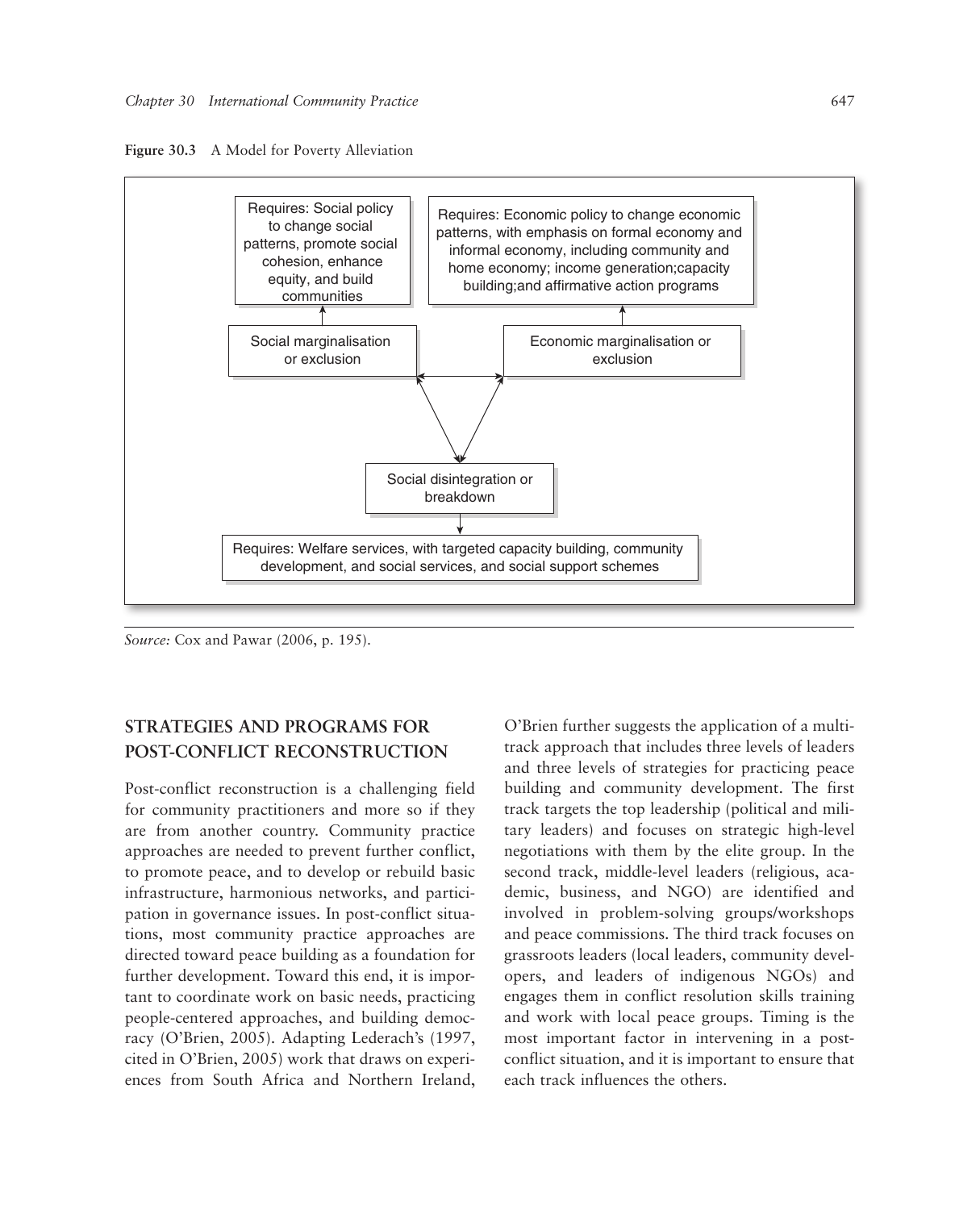



*Source:* Cox and Pawar (2006, p. 195).

# **STRATEGIES AND PROGRAMS FOR POST-CONFLICT RECONSTRUCTION**

Post-conflict reconstruction is a challenging field for community practitioners and more so if they are from another country. Community practice approaches are needed to prevent further conflict, to promote peace, and to develop or rebuild basic infrastructure, harmonious networks, and participation in governance issues. In post-conflict situations, most community practice approaches are directed toward peace building as a foundation for further development. Toward this end, it is important to coordinate work on basic needs, practicing people-centered approaches, and building democracy (O'Brien, 2005). Adapting Lederach's (1997, cited in O'Brien, 2005) work that draws on experiences from South Africa and Northern Ireland,

O'Brien further suggests the application of a multitrack approach that includes three levels of leaders and three levels of strategies for practicing peace building and community development. The first track targets the top leadership (political and military leaders) and focuses on strategic high-level negotiations with them by the elite group. In the second track, middle-level leaders (religious, academic, business, and NGO) are identified and involved in problem-solving groups/workshops and peace commissions. The third track focuses on grassroots leaders (local leaders, community developers, and leaders of indigenous NGOs) and engages them in conflict resolution skills training and work with local peace groups. Timing is the most important factor in intervening in a postconflict situation, and it is important to ensure that each track influences the others.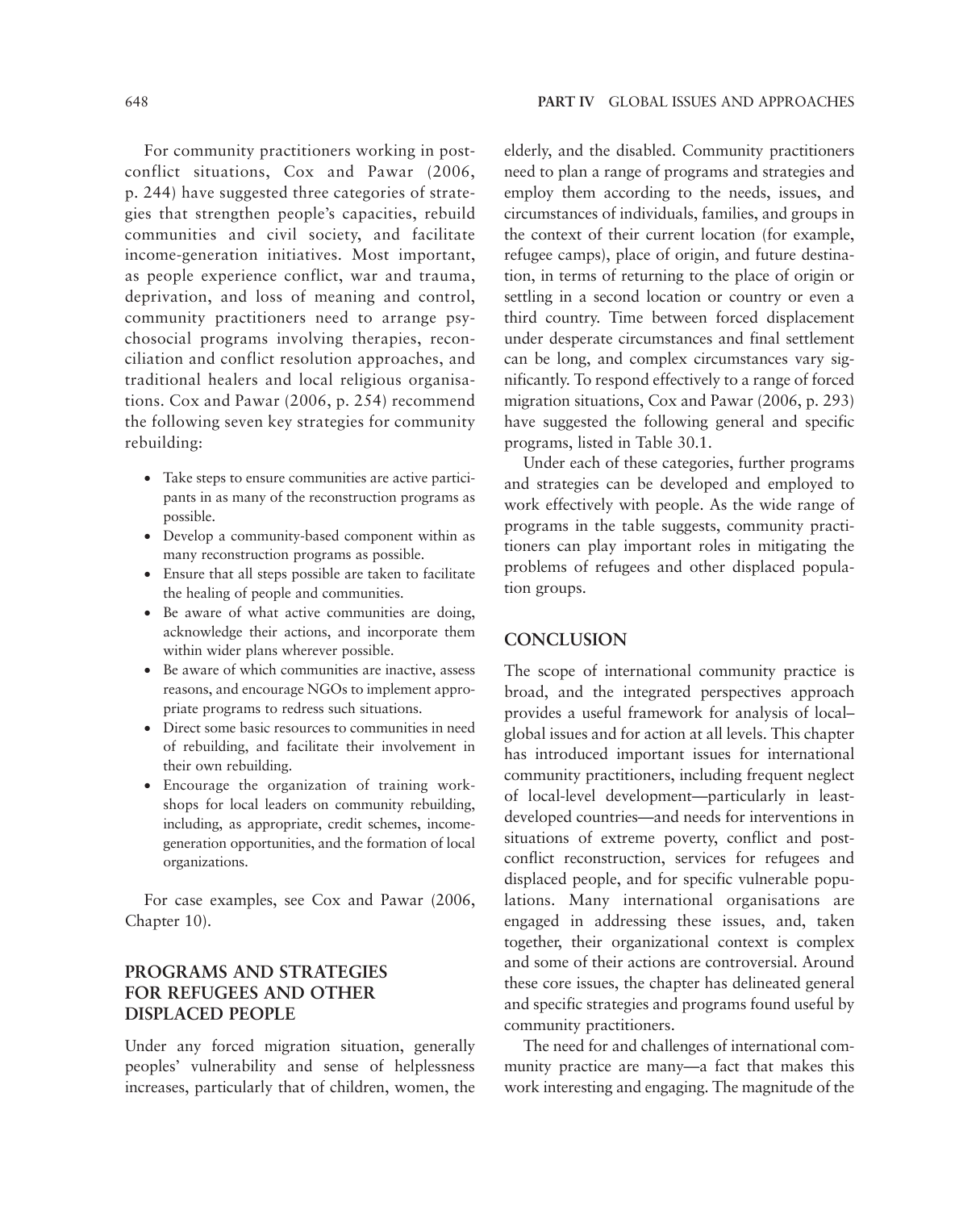For community practitioners working in postconflict situations, Cox and Pawar (2006, p. 244) have suggested three categories of strategies that strengthen people's capacities, rebuild communities and civil society, and facilitate income-generation initiatives. Most important, as people experience conflict, war and trauma, deprivation, and loss of meaning and control, community practitioners need to arrange psychosocial programs involving therapies, reconciliation and conflict resolution approaches, and traditional healers and local religious organisations. Cox and Pawar (2006, p. 254) recommend the following seven key strategies for community rebuilding:

- Take steps to ensure communities are active participants in as many of the reconstruction programs as possible.
- Develop a community-based component within as many reconstruction programs as possible.
- Ensure that all steps possible are taken to facilitate the healing of people and communities.
- Be aware of what active communities are doing, acknowledge their actions, and incorporate them within wider plans wherever possible.
- Be aware of which communities are inactive, assess reasons, and encourage NGOs to implement appropriate programs to redress such situations.
- Direct some basic resources to communities in need of rebuilding, and facilitate their involvement in their own rebuilding.
- Encourage the organization of training workshops for local leaders on community rebuilding, including, as appropriate, credit schemes, incomegeneration opportunities, and the formation of local organizations.

For case examples, see Cox and Pawar (2006, Chapter 10).

# **PROGRAMS AND STRATEGIES FOR REFUGEES AND OTHER DISPLACED PEOPLE**

Under any forced migration situation, generally peoples' vulnerability and sense of helplessness increases, particularly that of children, women, the elderly, and the disabled. Community practitioners need to plan a range of programs and strategies and employ them according to the needs, issues, and circumstances of individuals, families, and groups in the context of their current location (for example, refugee camps), place of origin, and future destination, in terms of returning to the place of origin or settling in a second location or country or even a third country. Time between forced displacement under desperate circumstances and final settlement can be long, and complex circumstances vary significantly. To respond effectively to a range of forced migration situations, Cox and Pawar (2006, p. 293) have suggested the following general and specific programs, listed in Table 30.1.

Under each of these categories, further programs and strategies can be developed and employed to work effectively with people. As the wide range of programs in the table suggests, community practitioners can play important roles in mitigating the problems of refugees and other displaced population groups.

# **CONCLUSION**

The scope of international community practice is broad, and the integrated perspectives approach provides a useful framework for analysis of local– global issues and for action at all levels. This chapter has introduced important issues for international community practitioners, including frequent neglect of local-level development—particularly in leastdeveloped countries—and needs for interventions in situations of extreme poverty, conflict and postconflict reconstruction, services for refugees and displaced people, and for specific vulnerable populations. Many international organisations are engaged in addressing these issues, and, taken together, their organizational context is complex and some of their actions are controversial. Around these core issues, the chapter has delineated general and specific strategies and programs found useful by community practitioners.

The need for and challenges of international community practice are many—a fact that makes this work interesting and engaging. The magnitude of the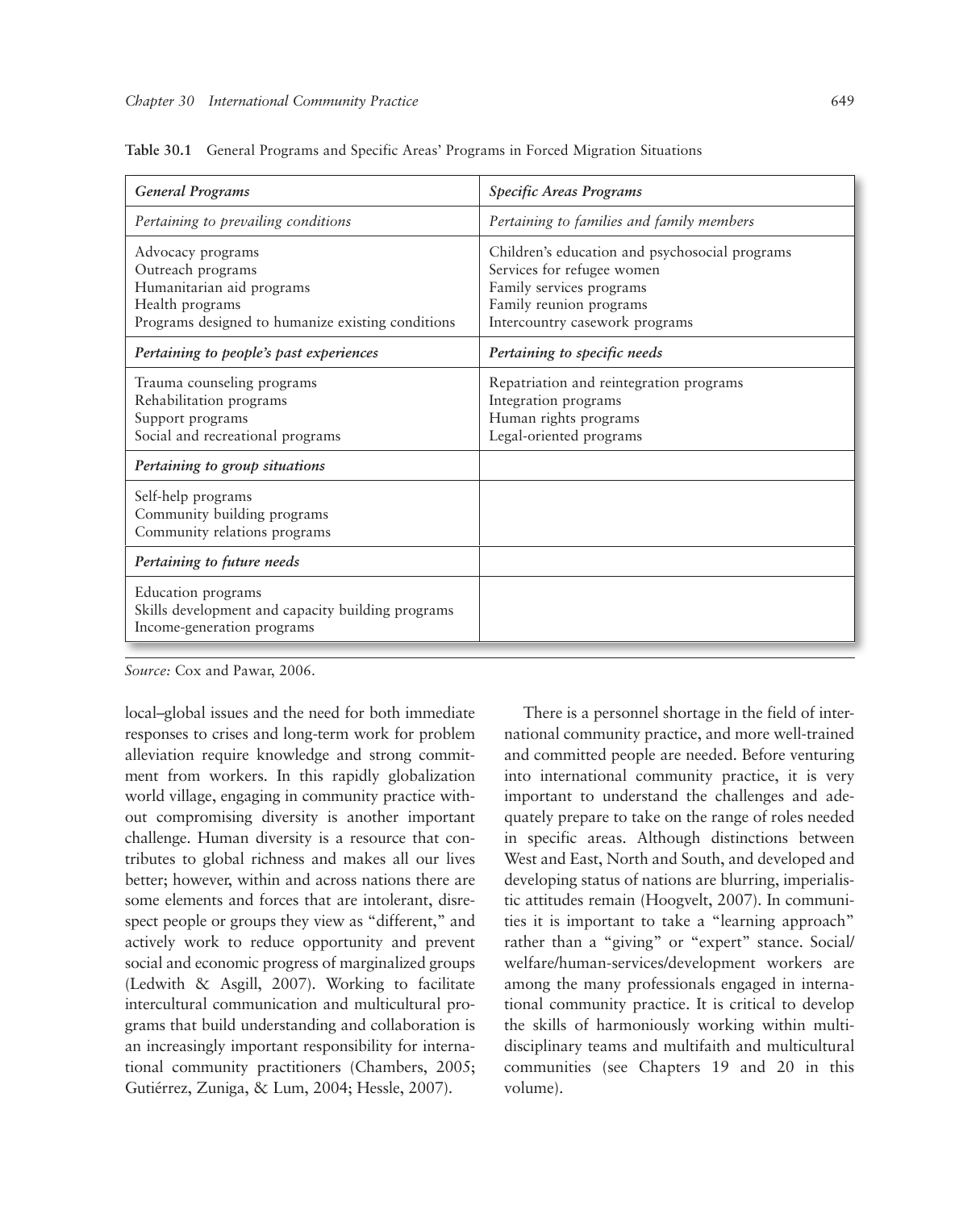| <b>General Programs</b>                                                                                                                     | Specific Areas Programs                                                                                                                                               |
|---------------------------------------------------------------------------------------------------------------------------------------------|-----------------------------------------------------------------------------------------------------------------------------------------------------------------------|
| Pertaining to prevailing conditions                                                                                                         | Pertaining to families and family members                                                                                                                             |
| Advocacy programs<br>Outreach programs<br>Humanitarian aid programs<br>Health programs<br>Programs designed to humanize existing conditions | Children's education and psychosocial programs<br>Services for refugee women<br>Family services programs<br>Family reunion programs<br>Intercountry casework programs |
| Pertaining to people's past experiences                                                                                                     | Pertaining to specific needs                                                                                                                                          |
| Trauma counseling programs<br>Rehabilitation programs<br>Support programs<br>Social and recreational programs                               | Repatriation and reintegration programs<br>Integration programs<br>Human rights programs<br>Legal-oriented programs                                                   |
| Pertaining to group situations                                                                                                              |                                                                                                                                                                       |
| Self-help programs<br>Community building programs<br>Community relations programs                                                           |                                                                                                                                                                       |
| Pertaining to future needs                                                                                                                  |                                                                                                                                                                       |
| Education programs<br>Skills development and capacity building programs<br>Income-generation programs                                       |                                                                                                                                                                       |

**Table 30.1** General Programs and Specific Areas' Programs in Forced Migration Situations

*Source:* Cox and Pawar, 2006.

local–global issues and the need for both immediate responses to crises and long-term work for problem alleviation require knowledge and strong commitment from workers. In this rapidly globalization world village, engaging in community practice without compromising diversity is another important challenge. Human diversity is a resource that contributes to global richness and makes all our lives better; however, within and across nations there are some elements and forces that are intolerant, disrespect people or groups they view as "different," and actively work to reduce opportunity and prevent social and economic progress of marginalized groups (Ledwith & Asgill, 2007). Working to facilitate intercultural communication and multicultural programs that build understanding and collaboration is an increasingly important responsibility for international community practitioners (Chambers, 2005; Gutiérrez, Zuniga, & Lum, 2004; Hessle, 2007).

There is a personnel shortage in the field of international community practice, and more well-trained and committed people are needed. Before venturing into international community practice, it is very important to understand the challenges and adequately prepare to take on the range of roles needed in specific areas. Although distinctions between West and East, North and South, and developed and developing status of nations are blurring, imperialistic attitudes remain (Hoogvelt, 2007). In communities it is important to take a "learning approach" rather than a "giving" or "expert" stance. Social/ welfare/human-services/development workers are among the many professionals engaged in international community practice. It is critical to develop the skills of harmoniously working within multidisciplinary teams and multifaith and multicultural communities (see Chapters 19 and 20 in this volume).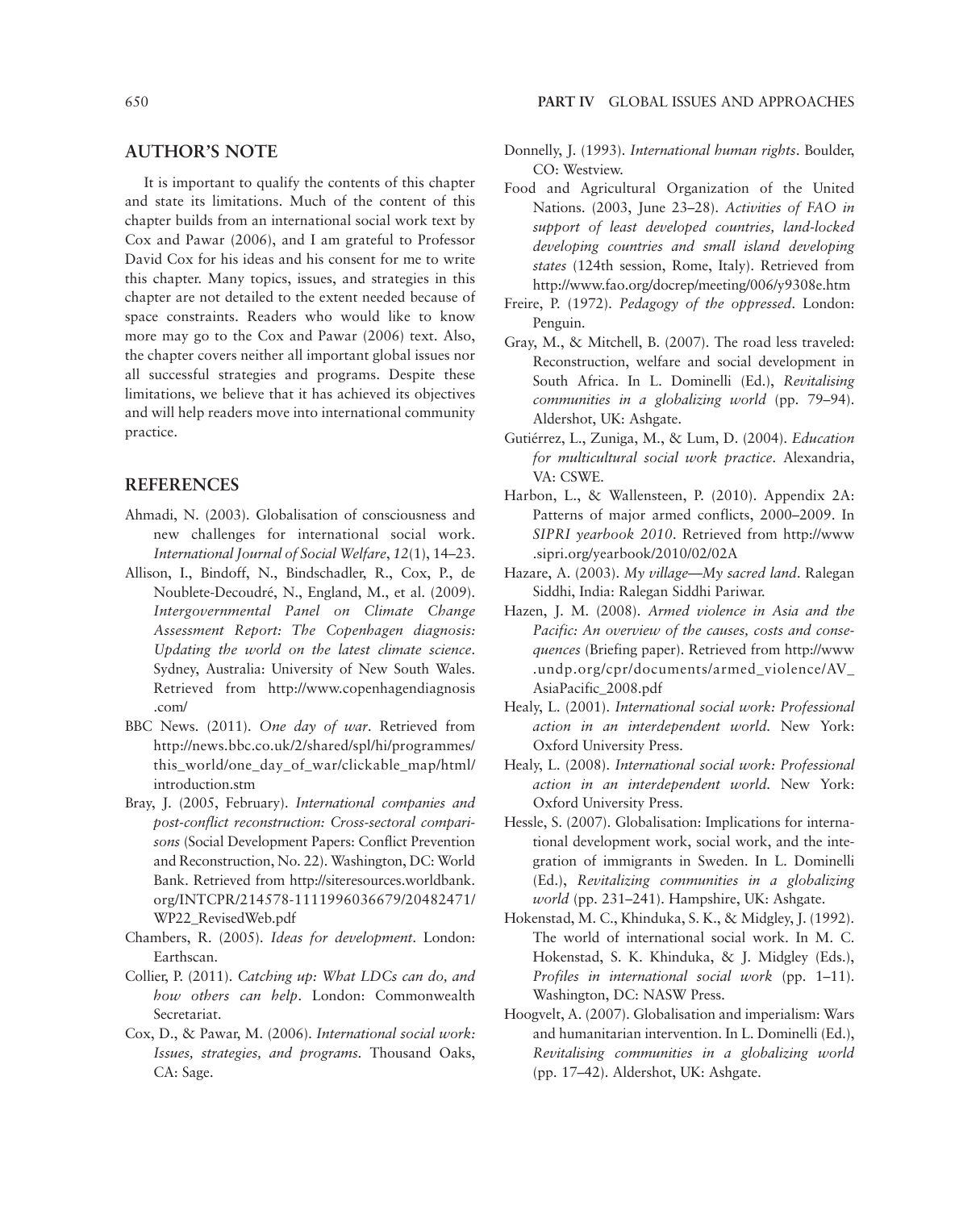#### **AUTHOR'S NOTE**

It is important to qualify the contents of this chapter and state its limitations. Much of the content of this chapter builds from an international social work text by Cox and Pawar (2006), and I am grateful to Professor David Cox for his ideas and his consent for me to write this chapter. Many topics, issues, and strategies in this chapter are not detailed to the extent needed because of space constraints. Readers who would like to know more may go to the Cox and Pawar (2006) text. Also, the chapter covers neither all important global issues nor all successful strategies and programs. Despite these limitations, we believe that it has achieved its objectives and will help readers move into international community practice.

#### **REFERENCES**

- Ahmadi, N. (2003). Globalisation of consciousness and new challenges for international social work. *International Journal of Social Welfare*, *12*(1), 14–23.
- Allison, I., Bindoff, N., Bindschadler, R., Cox, P., de Noublete-Decoudré, N., England, M., et al. (2009). *Intergovernmental Panel on Climate Change Assessment Report: The Copenhagen diagnosis: Updating the world on the latest climate science*. Sydney, Australia: University of New South Wales. Retrieved from http://www.copenhagendiagnosis .com/
- BBC News. (2011). *One day of war*. Retrieved from http://news.bbc.co.uk/2/shared/spl/hi/programmes/ this\_world/one\_day\_of\_war/clickable\_map/html/ introduction.stm
- Bray, J. (2005, February). *International companies and post-conflict reconstruction: Cross-sectoral comparisons* (Social Development Papers: Conflict Prevention and Reconstruction, No. 22). Washington, DC: World Bank. Retrieved from http://siteresources.worldbank. org/INTCPR/214578-1111996036679/20482471/ WP22\_RevisedWeb.pdf
- Chambers, R. (2005). *Ideas for development*. London: Earthscan.
- Collier, P. (2011). *Catching up: What LDCs can do, and how others can help*. London: Commonwealth Secretariat.
- Cox, D., & Pawar, M. (2006). *International social work: Issues, strategies, and programs.* Thousand Oaks, CA: Sage.
- 650 **PART IV** GLOBAL ISSUES AND APPROACHES
	- Donnelly, J. (1993). *International human rights*. Boulder, CO: Westview.
	- Food and Agricultural Organization of the United Nations. (2003, June 23–28). *Activities of FAO in support of least developed countries, land-locked developing countries and small island developing states* (124th session, Rome, Italy). Retrieved from http://www.fao.org/docrep/meeting/006/y9308e.htm
	- Freire, P. (1972). *Pedagogy of the oppressed*. London: Penguin.
	- Gray, M., & Mitchell, B. (2007). The road less traveled: Reconstruction, welfare and social development in South Africa. In L. Dominelli (Ed.), *Revitalising communities in a globalizing world* (pp. 79–94). Aldershot, UK: Ashgate.
	- Gutiérrez, L., Zuniga, M., & Lum, D. (2004). *Education for multicultural social work practice*. Alexandria, VA: CSWE.
	- Harbon, L., & Wallensteen, P. (2010). Appendix 2A: Patterns of major armed conflicts, 2000–2009. In *SIPRI yearbook 2010*. Retrieved from http://www .sipri.org/yearbook/2010/02/02A
	- Hazare, A. (2003). *My village—My sacred land*. Ralegan Siddhi, India: Ralegan Siddhi Pariwar.
	- Hazen, J. M. (2008). *Armed violence in Asia and the Pacific: An overview of the causes, costs and consequences* (Briefing paper). Retrieved from http://www .undp.org/cpr/documents/armed\_violence/AV\_ AsiaPacific\_2008.pdf
	- Healy, L. (2001). *International social work: Professional action in an interdependent world.* New York: Oxford University Press.
	- Healy, L. (2008). *International social work: Professional action in an interdependent world.* New York: Oxford University Press.
	- Hessle, S. (2007). Globalisation: Implications for international development work, social work, and the integration of immigrants in Sweden. In L. Dominelli (Ed.), *Revitalizing communities in a globalizing world* (pp. 231–241). Hampshire, UK: Ashgate.
	- Hokenstad, M. C., Khinduka, S. K., & Midgley, J. (1992). The world of international social work. In M. C. Hokenstad, S. K. Khinduka, & J. Midgley (Eds.), *Profiles in international social work* (pp. 1–11). Washington, DC: NASW Press.
	- Hoogvelt, A. (2007). Globalisation and imperialism: Wars and humanitarian intervention. In L. Dominelli (Ed.), *Revitalising communities in a globalizing world*  (pp. 17–42). Aldershot, UK: Ashgate.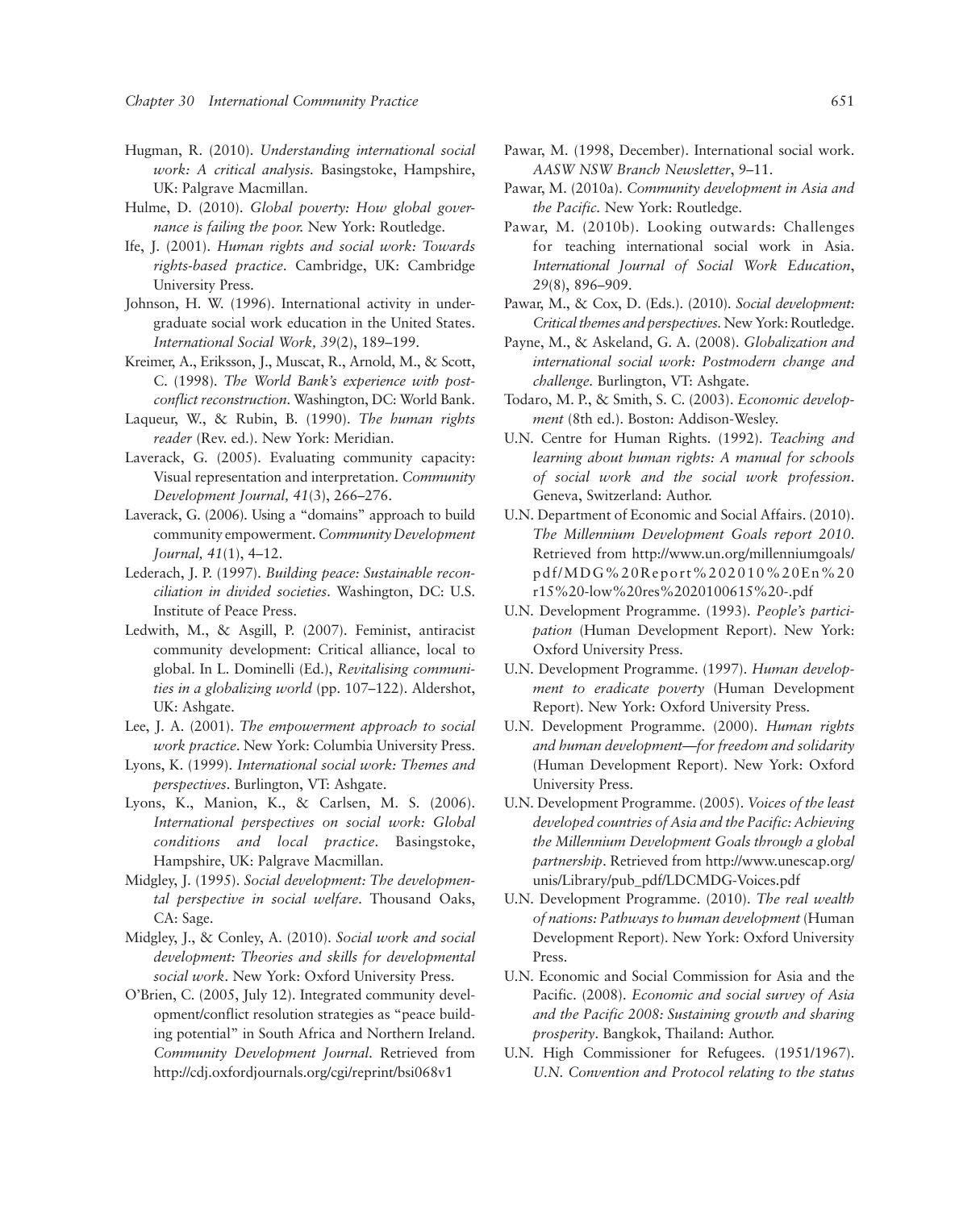- Hugman, R. (2010). *Understanding international social work: A critical analysis.* Basingstoke, Hampshire, UK: Palgrave Macmillan.
- Hulme, D. (2010). *Global poverty: How global governance is failing the poor.* New York: Routledge.
- Ife, J. (2001). *Human rights and social work: Towards rights-based practice*. Cambridge, UK: Cambridge University Press.
- Johnson, H. W. (1996). International activity in undergraduate social work education in the United States. *International Social Work, 39*(2), 189–199.
- Kreimer, A., Eriksson, J., Muscat, R., Arnold, M., & Scott, C. (1998). *The World Bank's experience with postconflict reconstruction*. Washington, DC: World Bank.
- Laqueur, W., & Rubin, B. (1990). *The human rights reader* (Rev. ed.). New York: Meridian.
- Laverack, G. (2005). Evaluating community capacity: Visual representation and interpretation. *Community Development Journal, 41*(3), 266–276.
- Laverack, G. (2006). Using a "domains" approach to build community empowerment. *Community Development Journal, 41*(1), 4–12.
- Lederach, J. P. (1997). *Building peace: Sustainable reconciliation in divided societies*. Washington, DC: U.S. Institute of Peace Press.
- Ledwith, M., & Asgill, P. (2007). Feminist, antiracist community development: Critical alliance, local to global. In L. Dominelli (Ed.), *Revitalising communities in a globalizing world* (pp. 107–122). Aldershot, UK: Ashgate.
- Lee, J. A. (2001). *The empowerment approach to social work practice*. New York: Columbia University Press.
- Lyons, K. (1999). *International social work: Themes and perspectives*. Burlington, VT: Ashgate.
- Lyons, K., Manion, K., & Carlsen, M. S. (2006). *International perspectives on social work: Global conditions and local practice.* Basingstoke, Hampshire, UK: Palgrave Macmillan.
- Midgley, J. (1995). *Social development: The developmental perspective in social welfare*. Thousand Oaks, CA: Sage.
- Midgley, J., & Conley, A. (2010). *Social work and social development: Theories and skills for developmental social work*. New York: Oxford University Press.
- O'Brien, C. (2005, July 12). Integrated community development/conflict resolution strategies as "peace building potential" in South Africa and Northern Ireland. *Community Development Journal*. Retrieved from http://cdj.oxfordjournals.org/cgi/reprint/bsi068v1
- Pawar, M. (1998, December). International social work. *AASW NSW Branch Newsletter*, 9–11.
- Pawar, M. (2010a). *Community development in Asia and the Pacific.* New York: Routledge.
- Pawar, M. (2010b). Looking outwards: Challenges for teaching international social work in Asia. *International Journal of Social Work Education*, *29*(8), 896–909.
- Pawar, M., & Cox, D. (Eds.). (2010). *Social development: Critical themes and perspectives.* New York: Routledge.
- Payne, M., & Askeland, G. A. (2008). *Globalization and international social work: Postmodern change and challenge.* Burlington, VT: Ashgate.
- Todaro, M. P., & Smith, S. C. (2003). *Economic development* (8th ed.). Boston: Addison-Wesley.
- U.N. Centre for Human Rights. (1992). *Teaching and learning about human rights: A manual for schools of social work and the social work profession*. Geneva, Switzerland: Author.
- U.N. Department of Economic and Social Affairs. (2010). *The Millennium Development Goals report 2010*. Retrieved from http://www.un.org/millenniumgoals/ pdf/MDG%20Report%202010%20En%20 r15%20-low%20res%2020100615%20-.pdf
- U.N. Development Programme. (1993). *People's participation* (Human Development Report). New York: Oxford University Press.
- U.N. Development Programme. (1997). *Human development to eradicate poverty* (Human Development Report). New York: Oxford University Press.
- U.N. Development Programme. (2000). *Human rights and human development—for freedom and solidarity*  (Human Development Report). New York: Oxford University Press.
- U.N. Development Programme. (2005). *Voices of the least developed countries of Asia and the Pacific: Achieving the Millennium Development Goals through a global partnership*. Retrieved from http://www.unescap.org/ unis/Library/pub\_pdf/LDCMDG-Voices.pdf
- U.N. Development Programme. (2010). *The real wealth of nations: Pathways to human development* (Human Development Report). New York: Oxford University Press.
- U.N. Economic and Social Commission for Asia and the Pacific. (2008). *Economic and social survey of Asia and the Pacific 2008: Sustaining growth and sharing prosperity*. Bangkok, Thailand: Author.
- U.N. High Commissioner for Refugees. (1951/1967). *U.N. Convention and Protocol relating to the status*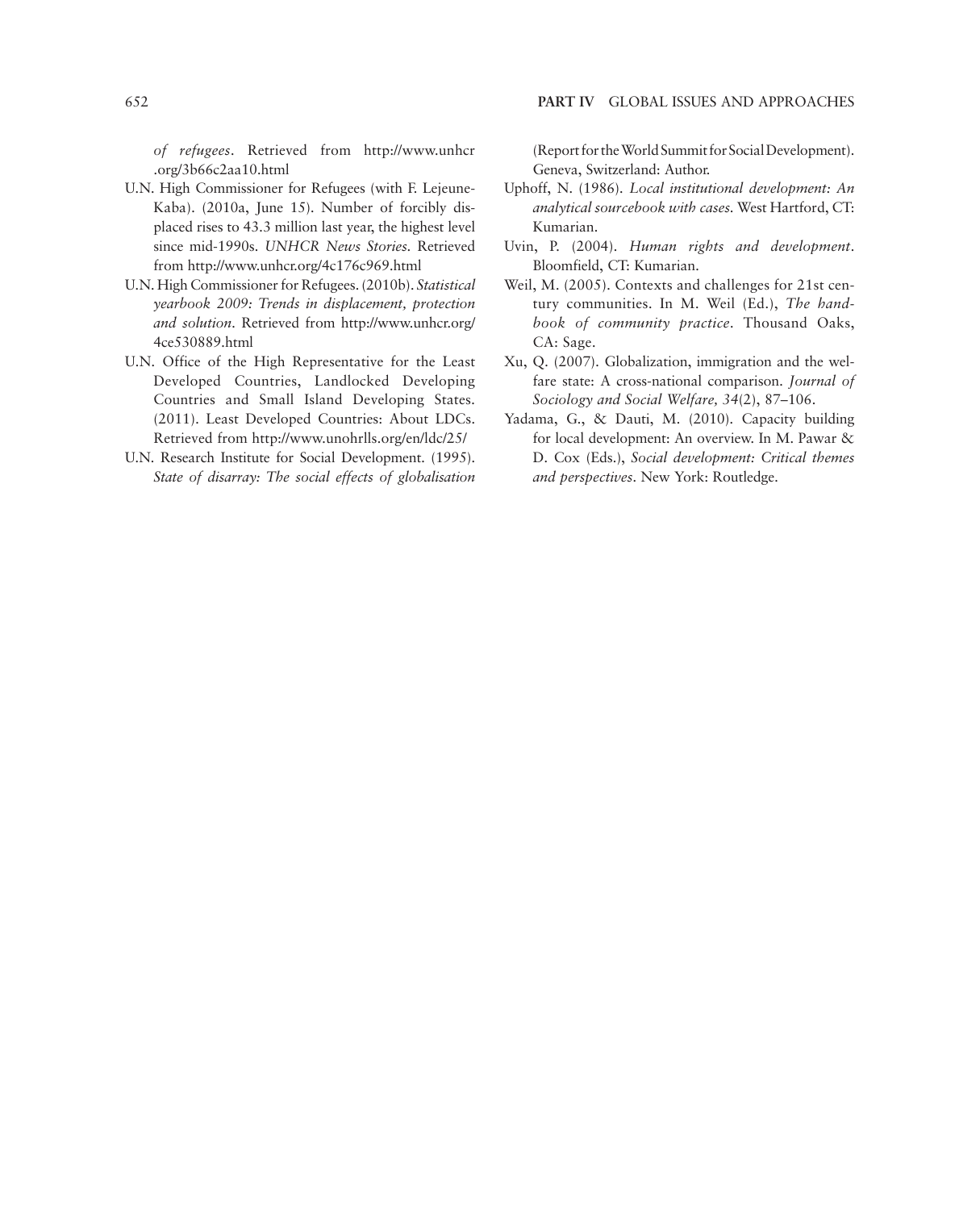*of refugees*. Retrieved from http://www.unhcr .org/3b66c2aa10.html

- U.N. High Commissioner for Refugees (with F. Lejeune-Kaba). (2010a, June 15). Number of forcibly displaced rises to 43.3 million last year, the highest level since mid-1990s. *UNHCR News Stories.* Retrieved from http://www.unhcr.org/4c176c969.html
- U.N. High Commissioner for Refugees. (2010b). *Statistical yearbook 2009: Trends in displacement, protection and solution*. Retrieved from http://www.unhcr.org/ 4ce530889.html
- U.N. Office of the High Representative for the Least Developed Countries, Landlocked Developing Countries and Small Island Developing States. (2011). Least Developed Countries: About LDCs. Retrieved from http://www.unohrlls.org/en/ldc/25/
- U.N. Research Institute for Social Development. (1995). *State of disarray: The social effects of globalisation*

(Report for the World Summit for Social Development). Geneva, Switzerland: Author.

- Uphoff, N. (1986). *Local institutional development: An analytical sourcebook with cases.* West Hartford, CT: Kumarian.
- Uvin, P. (2004). *Human rights and development*. Bloomfield, CT: Kumarian.
- Weil, M. (2005). Contexts and challenges for 21st century communities. In M. Weil (Ed.), *The handbook of community practice*. Thousand Oaks, CA: Sage.
- Xu, Q. (2007). Globalization, immigration and the welfare state: A cross-national comparison. *Journal of Sociology and Social Welfare, 34*(2), 87–106.
- Yadama, G., & Dauti, M. (2010). Capacity building for local development: An overview. In M. Pawar & D. Cox (Eds.), *Social development: Critical themes and perspectives*. New York: Routledge.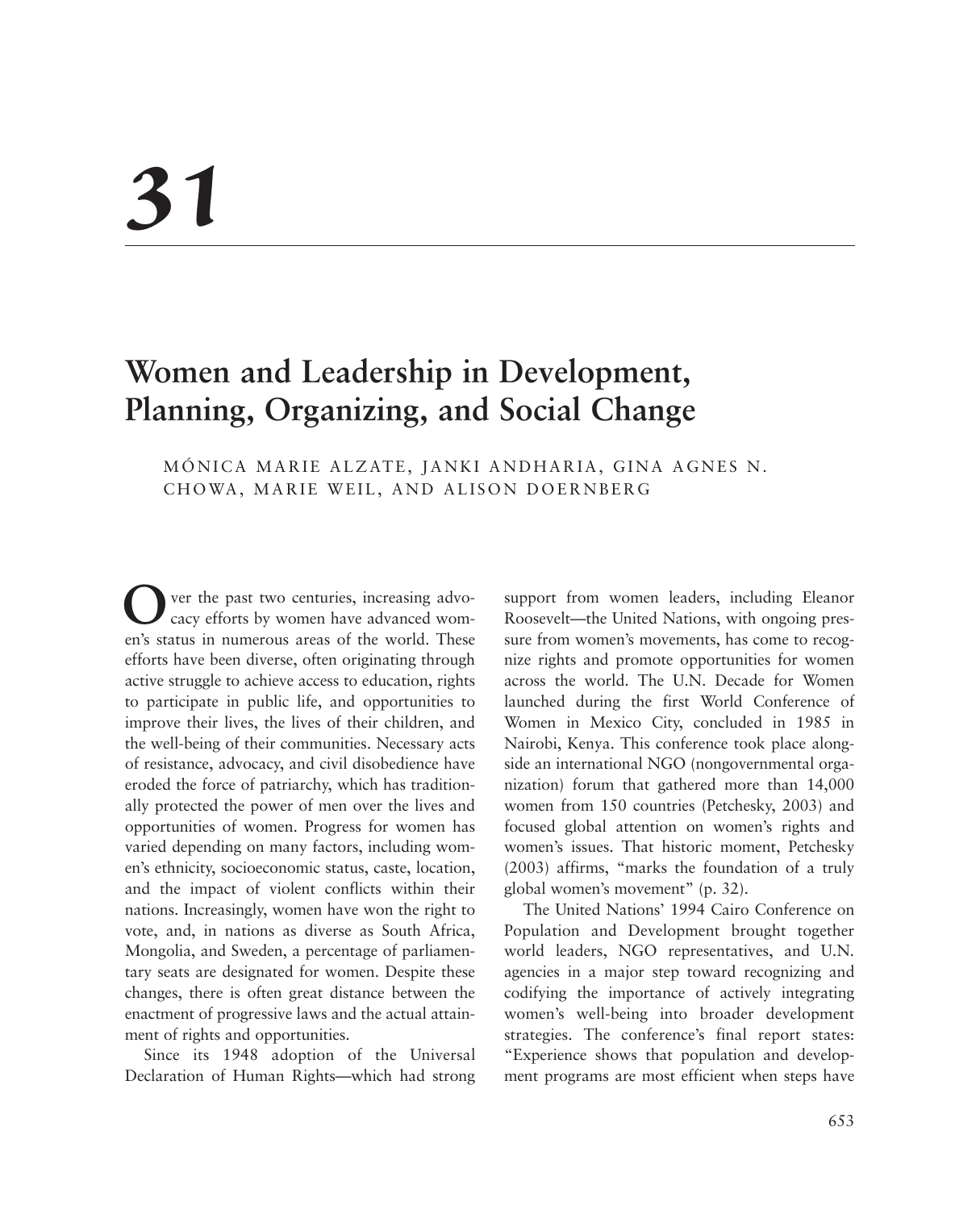# *31*

# **Women and Leadership in Development, Planning, Organizing, and Social Change**

# MÓNICA MARIE ALZATE, JANKI ANDHARIA, GINA AGNES N. CHOWA, MARIE WEIL, AND ALISON DOERNBERG

ver the past two centuries, increasing advocacy efforts by women have advanced women's status in numerous areas of the world. These efforts have been diverse, often originating through active struggle to achieve access to education, rights to participate in public life, and opportunities to improve their lives, the lives of their children, and the well-being of their communities. Necessary acts of resistance, advocacy, and civil disobedience have eroded the force of patriarchy, which has traditionally protected the power of men over the lives and opportunities of women. Progress for women has varied depending on many factors, including women's ethnicity, socioeconomic status, caste, location, and the impact of violent conflicts within their nations. Increasingly, women have won the right to vote, and, in nations as diverse as South Africa, Mongolia, and Sweden, a percentage of parliamentary seats are designated for women. Despite these changes, there is often great distance between the enactment of progressive laws and the actual attainment of rights and opportunities.

Since its 1948 adoption of the Universal Declaration of Human Rights—which had strong support from women leaders, including Eleanor Roosevelt—the United Nations, with ongoing pressure from women's movements, has come to recognize rights and promote opportunities for women across the world. The U.N. Decade for Women launched during the first World Conference of Women in Mexico City, concluded in 1985 in Nairobi, Kenya. This conference took place alongside an international NGO (nongovernmental organization) forum that gathered more than 14,000 women from 150 countries (Petchesky, 2003) and focused global attention on women's rights and women's issues. That historic moment, Petchesky (2003) affirms, "marks the foundation of a truly global women's movement" (p. 32).

The United Nations' 1994 Cairo Conference on Population and Development brought together world leaders, NGO representatives, and U.N. agencies in a major step toward recognizing and codifying the importance of actively integrating women's well-being into broader development strategies. The conference's final report states: "Experience shows that population and development programs are most efficient when steps have